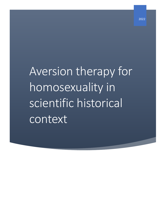Aversion therapy for homosexuality in scientific historical context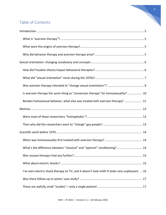# 

#### Table of Contents

| Is aversion therapy the same thing as "conversion therapy" for homosexuality?  10               |
|-------------------------------------------------------------------------------------------------|
| Besides homosexual behavior, what else was treated with aversion therapy?  11                   |
|                                                                                                 |
|                                                                                                 |
|                                                                                                 |
|                                                                                                 |
|                                                                                                 |
| What's the difference between "classical" and "operant" conditioning?  14                       |
|                                                                                                 |
|                                                                                                 |
| I've seen electric shock therapy on TV, and it doesn't look mild! It looks very unpleasant.  16 |
|                                                                                                 |
|                                                                                                 |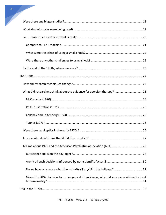| What did researchers think about the evidence for aversion therapy?  25                  |  |
|------------------------------------------------------------------------------------------|--|
|                                                                                          |  |
|                                                                                          |  |
|                                                                                          |  |
|                                                                                          |  |
|                                                                                          |  |
|                                                                                          |  |
|                                                                                          |  |
|                                                                                          |  |
|                                                                                          |  |
|                                                                                          |  |
| Given the APA decision to no longer call it an illness, why did anyone continue to treat |  |
|                                                                                          |  |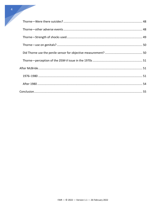| 4 |  |
|---|--|
|   |  |
|   |  |
|   |  |
|   |  |
|   |  |
|   |  |
|   |  |
|   |  |
|   |  |
|   |  |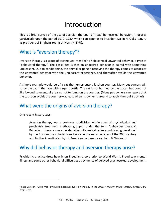# Introduction

<span id="page-5-0"></span>This is a brief survey of the use of aversion therapy to "treat" homosexual behavior. It focuses particularly upon the period 1970–1980, which corresponds to President Dallin H. Oaks' tenure as president of Brigham Young University (BYU).

# <span id="page-5-1"></span>What is "aversion therapy"?

Aversion therapy is a group of techniques intended to help control unwanted behavior, a type of "behavioral therapy". The basic idea is that an undesired behavior is paired with something unpleasant. Due to conditioning, the animal or person receiving the therapy comes to associate the unwanted behavior with the unpleasant experience, and thereafter avoids the unwanted behavior.

A simple example would be of a cat that jumps onto a kitchen counter. Many pet owners will spray the cat in the face with a squirt bottle. The cat is not harmed by the water, but does not like it—and so eventually learns not to jump on the counter. (Many pet owners can report that the cat soon avoids the counter—at least when its owner is around to apply the squirt bottle!)

# <span id="page-5-2"></span>What were the origins of aversion therapy?

One recent history says:

 $\overline{a}$ 

Aversion therapy was a post-war subdivision within a set of psychological and psychiatric treatment methods grouped under the term 'behaviour therapy'. Behaviour therapy was an elaboration of classical reflex conditioning developed by the Russian physiologist Ivan Pavlov in the early decades of the 20th century and further investigated by his American contemporary, John B. Watson. $1$ 

# <span id="page-5-3"></span>Why did behavior therapy and aversion therapy arise?

Psychiatric practice drew heavily on Freudian theory prior to World War II. Freud saw mental illness and some other behavioral difficulties as evidence of delayed psychosexual development.

<sup>1</sup> Kate Davison, "Cold War Pavlov: Homosexual aversion therapy in the 1960s," *History of the Human Sciences* 34/1 (2021): 92.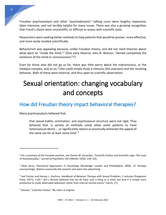Freudian psychoanalysis and other "psychodynamic" talking cures were lengthy, expensive, labor-intensive, and not terribly helpful for many issues. There was also a growing recognition that Freud's claims were unscientific, or difficult to assess with scientific tools.

Researchers were seeking better methods to help patients that would be quicker, more effective, and more easily studied scientifically.

Behaviorism was appealing because, unlike Freudian theory, one did not need theories about what went on "inside the mind."<sup>2</sup> (One early theorist, John B. Watson, "denied completely the existence of the mind or consciousness"!<sup>3</sup>)

Even for those who did not go so far, there was little worry about the subconscious, or the Oedipus complex, and so on.<sup>4</sup> One could simply study a stimulus (the aversion) and the resulting behavior. Both of these were external, and thus open to scientific observation.

# <span id="page-6-0"></span>Sexual orientation: changing vocabulary and concepts

# <span id="page-6-1"></span>How did Freudian theory impact behavioral therapies?

Many psychoanalysts believed that

 $\overline{a}$ 

that sexual habits, orientation, and psychosexual structure were not rigid. They believed that 'a variety of methods could allow *some* patients to have heterosexual desire … or significantly reduce or practically eliminate the appeal of the same sex for at least some time'. 5

<sup>&</sup>lt;sup>2</sup> For a summary of the Freudian position, see Charles W. Socarides, "Scientific Politics and Scientific Logic: The Issue of Homosexuality," *Journal of Psychiatry* 19/3 (Winter 1992): 318–320.

<sup>3</sup> Matt Jarvis, *Theoretical Approaches in Psychology* (Routledge: London and Philadelphia, 2000), 14. Perhaps unsurprisingly, Watson eventually left research and went into advertising.

<sup>4</sup> Joel Fischer and Harvey L. Gochros, *Handbook of Behavior Therapy with Sexual Problems*, 2 volumes (Pergamon Press, 1977), 1:xliv." [B.F.] Skinner believed that we do have such a thing as a mind, but that it is simply more productive to study observable behaviour rather than internal mental events" (Jarvis, 17).

<sup>5</sup> Davison, "Cold War Pavlov," 96, italics in original.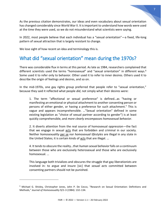As the previous citation demonstrates, our ideas and even vocabulary about sexual orientation has changed considerably since World War II. It is important to understand how words were used at the time they were used, so we do not misunderstand what scientists were saying.

In 2022, most people believe that each individual has a "sexual orientation"—a fixed, life-long pattern of sexual attraction that is largely resistant to change.

We lose sight of how recent an idea and terminology this is.

# <span id="page-7-0"></span>What did "sexual orientation" mean during the 1970s?

There was considerable flux in terms at this period. As late as 1984, researchers complained that different scientists used the terms "homosexual" and "sexual orientation" in different ways.<sup>6</sup> Some used it to refer only to behavior. Other used it to refer to inner desires. Others used it to describe the origin of feelings and desires, and so on.

In the mid-1970s, one gay rights group preferred that people refer to "sexual orientation," because they said it reflected what people *did*, not simply what their desires were:

1. The term "affectional or sexual preference" is defined…as "having or manifesting an emotional or physical attachment to another consenting person or persons of either gender, or having a preference for such attachment." This is vague and appears incomprehensible. …"Sexual orientation" defined in some existing legislation as "choice of sexual partner according to gender") is at least quickly comprehensible, and *more clearly encompasses homosexual behavior*.

2. It diverts attention from the real source of homosexual oppression—the fact that we engage in sexual acts that are forbidden and criminal in our society. Neither *homosexuality* per se nor *homosexual lifestyles* are illegal in any state in the United States; it is certain kinds of acts that are illegal. …

4. It tends to obscure the reality…that *human sexual behavior* falls on a continuum between those who are exclusively heterosexual and those who are exclusively homosexual. …

This language both trivializes and obscures the struggle that gay liberationists are involved in: to argue and insure [sic] that *sexual acts* committed between consenting partners should not be punished.

<sup>6</sup> Michael G. Shivley, Christopher Jones, John P. De Cecco, "Research on Sexual Orientation: Definitions and Methods," *Journal of Homosexuality* 9/2–3 (1984): 132–134.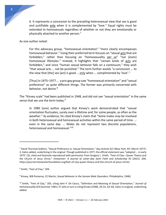6. It represents a concession to the prevailing heterosexual view that sex is good and justifiable only when it is complemented by "love." Equal rights must be extended to homosexuals regardless of whether or not they are emotionally or physically attached to another person.<sup>7</sup>

As one author noted:

For this advocacy group, "homosexual orientation" "more clearly encompasses homosexual behavior." Using their preferred term focuses on "sexual acts that are forbidden," rather than focusing on "homosexuality per se" "nor [even] homosexual lifestyles." Instead, it highlights that "certain kinds of acts are forbidden," and since "human sexual *behavior* falls on a continuum," they wish "that sexual acts … not be punished." The term further avoids "a concession … to the view that [the] sex [act] is good … only when … complimented by 'love'."

[Thus] in 1975–1977 … a pro-gay group saw "homosexual orientation" and "sexual preference" as quite different things. The former was primarily concerned with behavior, not desire.<sup>8</sup>

The "Kinsey scale" had been published in 1948, and did not see "sexual orientation" in the same sense that we use the term today.<sup>9</sup>

In 1980 [one] author argued that Kinsey's work demonstrated that "sexual orientation fluctuates, surely over a lifetime and, for some people, as often as the weather." As evidence, he cited Kinsey's claim that "Some males may be involved in both heterosexual and homosexual activities within the same period of time. … even in the same day. … Males do not represent two discrete populations, heterosexual and homosexual."<sup>10</sup>

<sup>7</sup> David Thorstad (editor), "Sexual Preference vs. Sexual Orientation," *Gay Activist* 6/1 (New York, NY; March 1977): 3, italics added, underlining in the original. Though published in 1977, the official statement was "adopted … in early 1975" (3); cited and footnote reproduced with permission from Gregory L. Smith, "Feet of Clay—Queer Theory and the Church of Jesus Christ," *Interpreter: A Journal of Latter-day Saint Faith and Scholarship* 43 (2021): 204, https://journal.interpreterfoundation.org/feet-of-clay-queer-theory-and-the-church-of-jesus-christ/.

<sup>8</sup> Smith, "Feet of Clay," 204.

<sup>9</sup> Kinsey, WB Pomeroy, CE Martin, *Sexual Behavior in the Human Male* (Saunders: Philadelphia, 1948).

<sup>10</sup> Smith, "Feet of Clay," 205, citing John P. De Cecco, "Definition and Meaning of Sexual Orientation," *Journal of Homosexuality* 6/4 (Summer 1981): 57 who in turn is citing Kinsey (1948), 29, 61, 63–64, italics in original, underlining added.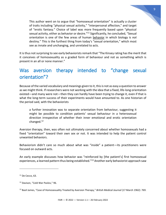This author went on to argue that "homosexual orientation" is actually a cluster of traits including "physical sexual activity," "interpersonal affection," and target of "erotic fantasy." Choice of label was more frequently based upon "physical sexual activity, either as behavior or desire.<sup>"11</sup> Significantly, he concluded, "Sexual orientation is one of the few areas of human behavior in which biology is *not*  destiny." This is the furthest thing from today's "sexual orientation," which most see as innate and unchanging, and unrelated to acts.

It is thus not surprising to see early behaviorists remark that "The Kinsey rating has the merit that it conceives of homosexuality as a graded form of behaviour and not as something which is present in an all or none manner."

## <span id="page-9-0"></span>Was aversion therapy intended to "change sexual orientation"?

Because of the varied vocabulary and meanings given to it, this is not as easy a question to answer as we might think. If researchers were not working with the idea that a fixed, life-long orientation existed—and many were not—then they can hardly have been trying to change it, even if that is what the long-term success of their experiments would have amounted to. As one historian of the period said, with the behaviorists

<span id="page-9-1"></span>a further innovation was to separate orientation from behaviour, suggesting it might be possible to condition patients' sexual behaviour in a heterosexual direction irrespective of whether their inner emotional and erotic orientation changed.<sup>12</sup>

Aversion therapy, then, was often not ultimately concerned about whether homosexuals had a fixed "orientation" toward their own sex or not. It was intended to help the patient control unwanted behaviors.

Behaviorism didn't care so much about what was "inside" a patient—its practitioners were focused on outward acts.

An early example discusses how behavior was "reinforced by [the patient's] first homosexual experiences, a learned pattern thus being established."<sup>13</sup> Another early behaviorist approach saw

 $11$  De Cecco, 63.

<sup>&</sup>lt;sup>12</sup> Davison, "Cold War Pavlov," 96.

<sup>13</sup> Basil James, "Case of Homosexuality Treated by Aversion Therapy," *British Medical Journal* (17 March 1962): 769.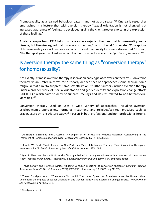"homosexuality as a learned behaviour pattern and not as a disease." $14$  One early researcher emphasized in a lecture that with aversion therapy "sexual orientation is not changed, but increased awareness of feelings is developed, giving the client greater choice in the expression of these feelings." 15

A later example from 1974 tells how researchers rejected the idea that homosexuality was a disease, but likewise argued that it was not something "constitutional," or innate: "Conceptions of homosexuality as a sickness or as a constitutional personality type were discounted." Instead, "the therapist gave the client an account of homosexuality as a *learned pattern of behavior*."<sup>16</sup>

# <span id="page-10-1"></span><span id="page-10-0"></span>Is aversion therapy the same thing as "conversion therapy" for homosexuality?

Not exactly. At most, aversion therapy is seen as an early type of conversion therapy. . Conversion therapy "is an umbrella term" for a "poorly defined" set of approaches (some secular, some religious) that aim "to suppress same-sex attraction."<sup>17</sup> Other authors include aversion therapy under a broader rubric of "sexual orientation and gender identity and expression change efforts (SOGIECE)," which "aim to deny or suppress feelings and desires related to non-heterosexual identities."<sup>18</sup>

Conversion therapy used or uses a wide variety of approaches, including aversion, psychodynamic approaches, hormonal treatment, and religious/spiritual practices such as prayer, exorcism, or scripture study.<sup>19</sup> It occurs in both professional and non-professional forums,

<sup>&</sup>lt;sup>14</sup> JG Thorpe, E Schmidt, and D Castell, "A Comparison of Positive and Negative (Aversive) Conditioning in the Treatment of Homosexuality," *Behavior Research and Therapy* 1/2–4 (1963): 361.

<sup>15</sup> Ronald W. Field, "Book Reviews: A Neo-Pavlovian View of Behaviour Therapy: Tape 2-Aversion Therapy of Homosexuality," in *Medical Journal of Australia* (20 September 1975): 489.

<sup>&</sup>lt;sup>16</sup> Lynn P. Rhem and Ronald H. Rozensky, "Multiple behavior therapy techniques with a homosexual client: a case study," *Journal of Behavioral, Therapeutic, & Experimental Psychiatry* 5 (1974): 54, emphasis added.

<sup>17</sup> Travis Salway and Florence Ashley, "Ridding Canadian medicine of conversion therapy," *Canadian Medical Association Journal* 194/1 (10 January 2022): E17–E18, https://doi.org/10.1503/cmaj.211709.

<sup>18</sup> Trevor Goodyear *et al.,* "'They Want You to Kill Your Inner Queer but Somehow Leave the Human Alive': Delineating the Impacts of Sexual Orientation and Gender Identity and Expression Change Efforts," *The Journal of Sex Research* (19 April 2021): 1.

<sup>19</sup> Goodyear *et al.,* 2.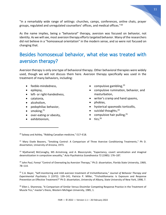"in a remarkably wide range of settings: churches, camps, conferences, online chats, prayer groups, regulated and unregulated counsellors' offices, and medical offices."<sup>20</sup>

As the name implies, being a "behavioral" therapy, aversion was focused on behavior, not identity. As we will see, most aversion therapy efforts targeted behavior. Many of the researchers did not believe in a "homosexual orientation" in the modern sense, and so were not focused on changing that.

# <span id="page-11-0"></span>Besides homosexual behavior, what else was treated with aversion therapy?

Aversion therapy is only one type of behavioral therapy. Other behavioral therapies were widely used, though we will not discuss them here. Aversion therapy specifically was used in the treatment of many behaviors, including:

- feeble-mindedness,
- epilepsy,
- left- or right-handedness,
- catatonia,
- alcoholism,
- pedophiliac behavior,
- $\bullet$  smoking,  $21$

 $\overline{a}$ 

- over-eating or obesity,
- exhibitionism,
- compulsive gambling, $2^3$
- compulsive rumination, behavior, and masturbation,
- writer's cramp and hand spasms,
- phobias,
- hysterical spasmodic torticollis,
- $\bullet$  suicidal thoughts,  $24$
- compulsive hair pulling,<sup>25</sup>
- tics, $^{26}$

<sup>20</sup> Salway and Ashley, "Ridding Canadian medicine," E17-E18.

<sup>21</sup> Mary Eisele Beavers, "Smoking Control: A Comparison of Three Aversive Conditioning Treatments," Ph D. dissertation, University of Arizona, 1973.

<sup>23</sup> N[athaniel] McConaghy, MS Armstrong, and A. Blaszczynski, "Expectancy, covert sensitization and imaginal desensitization in compulsive sexuality," *Acta Psychiatrica Scandinavica* 72 (1985): 176–187.

<sup>24</sup> John Paul, Foreyt "Control of Overeating by Aversion Therapy," Ph.D. dissertation, Florida State University, 1969, 78–114.

<sup>25</sup> C.A. Bayer, "Self-monitoring and mild aversion treatment of trichotillomania," *Journal of Behavior Therapy and Experimental Psychiatry* 3 (1972): 139–141; Patricia P. Miller, "Trichotillomania: Is Exposure and Response Prevention an Effective Treatment?" Ph D. dissertation, University of Albany, State University of New York, 1998, 7.

<sup>26</sup> Ellen L. Sharenow, "A Comparison of Similar Versus Dissimilar Competing Response Practice in the Treatment of Muscle Tics," master's thesis, Western Michigan University, 1985, 1.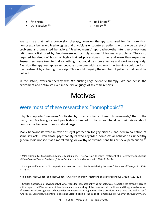transvestism,<sup>22</sup>

- nail-biting, $27$
- sadism.<sup>28</sup>

We can see that unlike conversion therapy, aversion therapy was used for far more than homosexual behavior. Psychologists and physicians encountered patients with a wide variety of problems and unwanted behaviors. "Psychodynamic" approaches—the intensive one-on-one talk therapy first used by Freud—were not terribly successful for many problems. They also required hundreds of hours of highly trained professionals' time, and were thus expensive. Researchers were keen to find something that would be more effective and work more quickly. Aversion therapy was appealing because someone with relatively little training could perform the treatment by adhering to a script. This would magnify the number of patients that could be helped.

<span id="page-12-0"></span>In the 1970s, aversion therapy was *the* cutting-edge scientific therapy. We can sense the excitement and optimism even in the dry language of scientific reports.

# Motives

# <span id="page-12-1"></span>Were most of these researchers "homophobic"?

If by "homophobic" we mean "motivated by distaste or hatred toward homosexuals," then in the main, no. Psychologists and psychiatrists tended to be more liberal in their views about homosexual behavior than society at large.

Many behaviorists were in favor of legal protection for gay citizens, and decriminalization of same-sex acts. Even those psychoanalysts who regarded homosexual behavior as unhealthy generally did not see it as a moral failing, or worthy of criminal penalties or social persecution.<sup>29</sup>

<sup>&</sup>lt;sup>22</sup> MP Feldman, MJ MacCulloch, Mary L. MacCulloch, "The Aversion Therapy Treatment of a Heterogeneous Group of Five Cases of Sexual Deviation," *Acta Psychiatrica Scandinavica* 44 (1968): 113–124

<sup>27</sup> J. Vargas and V. Adesso "A comparison of aversion therapies for nail-biting behavior," *Behavioral Therapy* 7 (1976): 322–329.

<sup>&</sup>lt;sup>28</sup> Feldman, MacCulloch, and MacCulloch, " Aversion Therapy Treatment of a Heterogeneous Group," 113–124.

 $29$  Charles Socarides, a psychoanalyst who regarded homosexuality as pathological, nevertheless strongly agreed with a report's call "for society's toleration and understanding of the homosexual condition and the gradual removal of persecutory laws against such activities between consulting adults. These positions were good and well taken." [Charles W. Socarides, "Scientific Politics and Scientific Logic: The Issue of Homosexuality," *Journal of Psychiatry* 19/3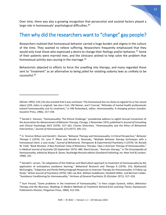Over time, there was also a growing recognition that persecution and societal factors played a large role in homosexuals' psychological difficulties.<sup>30</sup>

# <span id="page-13-0"></span>Then why did the researchers want to "change" gay people?

Researchers realized that homosexual behavior carried a huge burden and stigma in the culture of the time. They wanted to relieve suffering. Researchers frequently emphasized that they would only treat those who expressed a desire to change their feelings and/or behavior.<sup>31</sup> Some of their patients were married men, and the clinicians wished to help solve the problem that homosexual activity was causing in the marriage.<sup>32</sup>

Behaviorists objected to efforts to force the unwilling into therapy, and many regarded those sent to "treatment" as an alternative to being jailed for violating sodomy laws as unlikely to be successful.<sup>33</sup>

 $\overline{a}$ 

<sup>31</sup> G. Terence Wilson and Gerald C. Davison, "Behavior Therapy and Homosexuality: A Critical Perspective," *Behavior Therapy* 5 (1974): 25; Lynn P. Rhem and Ronald H. Rozensky, "Multiple behavior therapy techniques with a homosexual client: a case study," *Journal of Behavioral, Therapeutic & Experimental Psychiatry* 5 (1974): 54; Ronald W. Field, "Book Reviews: A Neo-Pavlovian View of Behaviour Therapy: Tape 2-Aversion Therapy of Homosexuality," in *Medical Journal of Australia* (20 September 1975): 489; Ward Houser, "Aversion therapy," in *The Encyclopedia of Homosexuality*, edited by Wayne R. Dynes, Routledge Revivals edition (Gardland Publishing, Inc: New York & London, 1990), 101.

<sup>32</sup> Donald E. Larson, "An adaptation of the Feldman and MacCulloch approach to treatment of homosexuality by the application of anticipatory avoidance learning," *Behavioral Research and Therapy* 8 (1970): 210; N[athaniel] McConaghy, "Subjective and Penile Plethysmograph Responses to Aversion Therapy for Homosexuality: A Follow-up Study," *British Journal of Psychiatry* (1970), 560; Lee Birk, William Huddleston, Elizabeth Miller, and Bertram Colder, "Avoidance Conditioning for Homosexuality," *Archives of General Psychiatry* 25 (October 1971): 317–318.

<sup>(</sup>Winter 1992): 310.] He also insisted that it was unchosen: The homosexual *has no choice* as regards his or her sexual object (329, italics in original). See also J Fort, CM Steiner, and F Conrad, "Attitudes of mental health professionals toward homosexuality and its treatment," in HM Ruitenbeck, editor, *Homosexuality: A changing picture* (London: Souvenir Press, 1966), 157–158.

<sup>&</sup>lt;sup>30</sup> Gerald C. Davison, "Homosexuality: The Ethical Challenge," presidential address to eighth Annual Convention of the Association for Advancement of Behavior Therapy, Chicago, 2 November 1974; published in *Journal of Consulting and Clinical Psychology* 44/2 (1976): 157–162; Charles Silverstein, "Homosexuality and the Ethics of Behavioral Intervention," *Journal of Homosexuality* 2/3 (1977): 205–211.

<sup>33</sup> Kurt Freund, "Some problems in the treatment of homosexuality," in Hans Jurgen Eysenck, editor, *Behaviour Therapy and the Neuroses: Readings in Modern Methods of Treatment Derived from Learning Theory* (Symposium Publications Division, Pergamon Press, 1960), 312-326.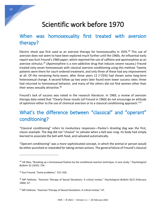# <span id="page-14-0"></span>Scientific work before 1970

# <span id="page-14-1"></span>When was homosexuality first treated with aversion therapy?

Electric shock was first used as an aversive therapy for homosexuality in 1935.<sup>34</sup> This use of aversion does not seem to have been explored much further until the 1960s. An influential early report was Kurt Freund's 1960 paper, which reported the use of caffeine and apomorphine as an aversive stimulus.<sup>35</sup> (Apomorphine is a non-addictive drug that induces severe nausea.) Freund treated sixty-seven homosexuals with classical aversive conditioning using this method. Twenty patients were there for court-ordered treatment, and only three of these had any improvement at all. Of the remaining forty-seven, after three years 12 [~25%] had shown some long-term heterosexual change. A second follow up two years later found even lower success rates: three had returned to homosexual behavior, and many of the others did not find women other than their wives sexually attractive.<sup>36</sup>

Freund's lack of success was noted in the research literature. In 1969, a review of aversion therapy data noted that "Clearly these results [of Freund in 1960] do not encourage an attitude of optimism either to the use of chemical aversion or to a classical conditioning approach."<sup>37</sup>

# <span id="page-14-2"></span>What's the difference between "classical" and "operant" conditioning?

"Classical conditioning" refers to involuntary responses—Pavlov's drooling dog was the first, classic example. The dog did not "choose" to salivate when a bell was rung. Its body had simply learned to associate the bell with food, and salivated automatically.

"Operant conditioning" was a more sophisticated concept, in which the animal or person would be either punished or rewarded for taking certain actions. The general failure of Freund's classical

<sup>34</sup> LW Max, "Breaking up a homosexual fixation by the conditional reaction technique: A case study," *Psychological Bulletin* 32 (1935): 734.

<sup>35</sup> Kurt Freund, "Some problems," 312–326.

<sup>36</sup> MP Feldman, "Aversion Therapy of Sexual Deviations: A critical review," *Psychological Bulletin* 65/2 (February 1966): 67.

<sup>37</sup> MP Feldman, "Aversion Therapy of Sexual Deviations: A critical review," 67.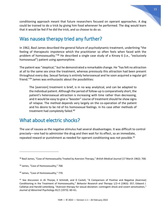conditioning approach meant that future researchers focused on operant approaches. A dog could be trained to do a trick by giving him food whenever he performed. The dog would learn that it would be fed if he did the trick, and so choose to do so.

#### <span id="page-15-0"></span>Was nausea therapy tried any further?

In 1962, Basil James described the general failure of psychodynamic treatment, underlining "the feeling of therapeutic impotence which the practitioner so often feels when faced with the problem of homosexuality."<sup>38</sup> He described a single case study of a Kinsey 6 (i.e., "exclusively homosexual") patient using apomorphine.

The patient was "skeptical," but he demonstrated a remarkable change. He "has felt no attraction at all to the same sex since the treatment, whereas previously this attraction had been present throughout every day. Sexual fantasy is entirely heterosexual and he soon acquired a regular girl friend." <sup>39</sup> James was enthusiastic about the possibilities:

The [aversion] treatment is brief, is in no way analytical, and can be adapted to the individual patient. Although the period of follow-up is comparatively short, the patient's heterosexual attraction is increasing with time rather than decreasing, and it would be easy to give a "booster" course of treatment should he show signs of relapse. The method depends very largely on the co-operation of the patient and his desire to be rid of his homosexual feelings. In his case other methods of treatment had completely failed.<sup>40</sup>

## <span id="page-15-1"></span>What about electric shocks?

The use of nausea as the negative stimulus had several disadvantages. It was difficult to control precisely—one had to administer the drug and then wait for its effect, so an immediate, repeated reward or punishment as needed for operant conditioning was not possible.<sup>41</sup>

<sup>38</sup> Basil James, "Case of Homosexuality Treated by Aversion Therapy," *British Medical Journal* (17 March 1962): 768.

<sup>&</sup>lt;sup>39</sup> James, "Case of Homosexuality," 768.

<sup>40</sup> James, "Case of Homosexuality," 770.

<sup>&</sup>lt;sup>41</sup> See discussion in JG Thorpe, E Schmidt, and D Castell, "A Comparison of Positive and Negative (Aversive) Conditioning in the Treatment of Homosexuality," *Behavior Research and Therapy* 1/2–4 (1963): 357; Edward J. Callahax and Harold Leitenberg, "Aversion therapy for sexual deviation: contingent shock and covert sensitization," *Journal of Abnormal Psychology* 81/1 (1973): 60–61.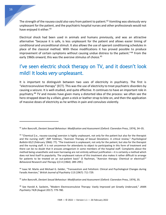The strength of the nausea could also vary from patient to patient.<sup>42</sup> Vomiting was obviously very unpleasant for the patient, and the psychiatric hospital nurses and other professionals would not have enjoyed it either.<sup>43</sup>

Electrical shock had been used in animals and humans previously, and was an attractive alternative "because it is safe, is less unpleasant for the patient and allows easier timing of conditional and unconditional stimuli. It also allows the use of operant conditioning schedules in place of the classical method. With these modifications it has proved possible to produce improvement of certain symptoms without causing undue distress to the patient."<sup>44</sup> From the early 1960s onward, this was the aversive stimulus of choice.<sup>45</sup>

# <span id="page-16-0"></span>I've seen electric shock therapy on TV, and it doesn't look mild! It looks *very* unpleasant.

It is important to distinguish between two uses of electricity in psychiatry. The first is "electroconvulsive therapy" (ECT). This was the use of electricity to treat psychiatric disorders by causing a seizure. It is well-studied, and quite effective. It continues to have an important role in psychiatry.<sup>46</sup> TV and movies have given many a distorted idea of the process: we often see the hero strapped down by a villain, given a stick or leather strap to bite on, and then the application of massive doses of electricity as he writhes in pain and convulses violently.

<sup>44</sup> Isaac M. Marks and Michael G. Gelder, "Transvestism and Fetishism: Clinical and Psychological Changes during Faradic Aversion," *British Journal of Psychiatry* 113 (1967): 711-729.

<sup>45</sup> John Bancroft, *Deviant Sexual Behaviour: Modification and Assessment* (Oxford: Clarendon Press, 1974), 35.

<sup>42</sup> John Bancroft, *Deviant Sexual Behaviour: Modification and Assessment* (Oxford: Clarendon Press, 1974), 34–35.

<sup>&</sup>lt;sup>43</sup> "Chemical [i.e., nausea-causing] aversion is highly unpleasant, not only for the patient but also for the therapist and the nursing staff," (MP Feldman, "Aversion Therapy of Sexual Deviations: A critical review," *Psychological Bulletin* 65/2 (February 1966): 77). "The treatment is unpleasant, not only for the patient, but also for the therapist and the nursing staff. It is not uncommon for attendants to object to participating in this form of treatment and there can be no doubt that it arouses antagonism in some members of the hospital staff. Complaints about the method being unaesthetic and even harrowing are not entirely without justification—it is certainly a method which does not lend itself to popularity. The unpleasant nature of this treatment also makes it rather difficult to arrange for patients to be treated on an out-patient basis" (S Rachman, "Aversion therapy: Chemical or electrical?" *Behavioral Research and Therapy* 2/2-4 (1964): 289–299.)

<sup>46</sup> See Harold A. Sackeim, "Modern Electroconvulsive Therapy: Vastly Improved yet Greatly Underused," *JAMA Psychiatry* 74/8 (August 2017): 779-780.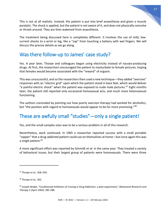This is not at all realistic. Instead, the patient is put into brief anaesthesia and given a muscle paralytic. The shock is applied, but the patient is not aware of it, and does not physically convulse or thrash around. They are then wakened from anaesthesia.

The treatment being discussed here is completely different. It involves the use of mild, lowcurrent shocks to a wrist or leg, like a "zap" from touching a battery with wet fingers. We will discuss the precise details as we go along.

# <span id="page-17-0"></span>Was there follow-up to James' case study?

Yes. A year later, Thorpe and colleagues began using electricity instead of nausea-producing drugs. At first, the researchers encouraged the patient to masturbate to female pictures, hoping that females would become associated with the "reward" of orgasm.

This was unsuccessful, and so the researchers then used a new technique—they added "aversive" responses with an "electric grid" upon which the patient stood in bare feet, which would deliver "a painful electric shock" when the patient was exposed to nude male pictures.<sup>47</sup> Eight months later, the patient still reported only occasional homosexual acts, and much more heterosexual functioning.

The authors concluded by pointing out how poorly aversion therapy had worked for alcoholics, but "the position with regard to homosexuals would appear to be far more promising."<sup>48</sup>

# <span id="page-17-1"></span>These are awfully small "studies"—only a single patient!

Yes, and the small samples sizes was to be a serious problem in all of this research.

Nevertheless, work continued. In 1965 a researcher reported success with a small portable "zapper" that a drug-addicted patient could use on themselves at home—but once again this was a single patient.<sup>49</sup>

A more significant effort was reported by Schmidt *et al.* in the same year. They treated a variety of behavioral issues, but their largest group of patients were homosexuals. There were three

<sup>47</sup> Thrope *et al.*, 358–359.

<sup>48</sup> Thrope *et al.*, 362.

<sup>49</sup> Joseph Wolpe, "Conditioned Inhibition of Craving in Drug Addiction: a pilot experiment," *Behavioral Research and Therapy* 3 (April 1965): 285-288.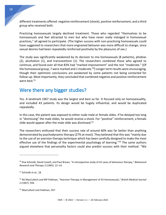different treatments offered: negative reinforcement (shock), positive reinforcement, and a third group who received both.

Practicing homosexuals largely declined treatment. Those who regarded "themselves to be homosexuals and feel attracted to men but who have never really indulged in homosexual practices," all agreed to participate. (The higher success with non-practicing homosexuals could have suggested to researchers that more engrained behavior was more difficult to change, since sexual desires had been repeatedly reinforced positively by the pleasures of sex.)

The study was significantly weakened by its decision to mix homosexuals (8 patients), phobias (2), alcoholism (1), and transvestitism (1). The researchers combined those who agreed to continue, and found over all that 83% had "marked improvement" and the rest "moderate." (Of the homosexual group, 7 were marked and 1 moderate.<sup>50</sup>) Longer term results were encouraging, though their optimistic conclusions are weakened by some patients not being contacted for follow-up. Most importantly, they concluded that combined negative and positive reinforcement were best. $51$ 

# <span id="page-18-0"></span>Were there any bigger studies?

Yes. A landmark 1967 study was the largest and best so far. It focused only on homosexuality, and included 43 patients. Its design would be hugely influential, and would be duplicated repeatedly.

In this case, the patient was exposed to either nude male or female slides. If he delayed too long in "dismissing" the male slides, he would receive a shock. For "positive" reinforcement, a female slide would appear after the male slide was dismissed.<sup>52</sup>

The researchers enthused that their success rate of around 60% was far better than anything demonstrated by psychodynamic therapy (27% at most). They believed that this was "mainly due to the use of an aversion therapy technique which has been carefully designed to make the most effective use of the findings of the experimental psychology of learning."<sup>53</sup> The same authors argued elsewhere that personality factors could also predict success with their method: "We

<sup>50</sup> Elsa Schmidt, David Castell, and Paul Brown, "A retrospective study of 42 cases of behaviour therapy," *Behavioral Research and Therapy* 3 (1965): 12–14.

<sup>51</sup> Schmidt *et al.,* 18.

<sup>52</sup> MJ MacCulloch and MP Feldman, "Aversion Therapy in Management of 43 Homosexuals," *British Medical Journal* 2 (1967): 594.

<sup>53</sup> MacCulloch and Feldman, 597.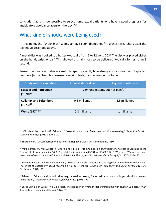conclude that it is now possible to select homosexual patients who have a good prognosis for anticipatory avoidance aversion therapy." 54

## <span id="page-19-0"></span>What kind of shocks were being used?

At this point, the "shock mat" seems to have been abandoned.<sup>55</sup> Further researchers used the technique described above.

A metal disc was hooked to a battery—usually from 6 to 12 volts DC.<sup>56</sup> The disc was placed either on the hand, wrist, or calf. This allowed a small shock to be delivered, typically for less than 1 second.

Researchers were not always careful to specify exactly how strong a shock was used. Reported numbers (not all from homosexual aversion tests) can be seen in this table:

| <b>Study authors and date</b>                   | <b>Lowest shock dose</b>           | <b>Highest shock dose</b> |
|-------------------------------------------------|------------------------------------|---------------------------|
| <b>Epstein and Roupenian</b><br>$(1970)^{57}$   | "very unpleasant, but not painful" |                           |
| <b>Callahax and Leitenberg</b><br>$(1973)^{58}$ | 0.5 milliamps                      | 4.5 milliamps             |
| Weiss (1974) <sup>59</sup>                      | 0.8 milliamp                       | 1 milliamp                |

 $\overline{a}$ 

<sup>56</sup> MP Feldman, MJ MacCulloch, JF Orford, and V Mellor, "The Application of Anticipatory Avoidance Learning to the Treatment of Homosexuality," *Acta Psychiatrica Scandinavica* 45/2 (June 1969): 114; B. Wijesinge,"Massed aversion treatment of sexual deviance," *Journal of Behavior Therapy and Experimental Psychiatry* 8/2 (1977): 135–137;

<sup>57</sup> Seymour Epstein and Armen Roupenian, "Heart rate and skin conductance during experimentally induced anxiety: The effect of uncertainty about receiving a noxious stimulus," *Journal of Personality and Social Psychology* 16/1 (September 1970): 21.

<sup>58</sup> Edward J. Callahax and Harold Leitenberg, "Aversion therapy for sexual deviation: contingent shock and covert sensitization," *Journal of Abnormal Psychology* 81/1 (1973): 70.

<sup>54</sup> MJ MacCulloch and MP Feldman, "Personality and the Treatment of Homosexuality," *Acta Psychiatrica Scandinavica* 43/3 (1967): 300–317.

<sup>55</sup> Thorpe *et al.,* "A Comparison of Positive and Negative (Aversive) Conditioning," 360.

<sup>59</sup> Leslie Ellin Bloch Weiss, "An Exploratory Investigation of Aversion-Relief Paradigms with Human Subjects," Ph.D. dissertation, University of Hawaii, 1974, 52.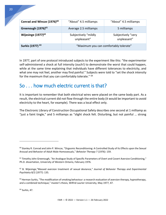| Conrad and Wincze (1976) <sup>60</sup> | "About" 4.5 milliamps               | "About" 4.5 milliamps                  |  |
|----------------------------------------|-------------------------------------|----------------------------------------|--|
| Greenough (1976) <sup>61</sup>         | Average 2.5 milliamps               | 5 milliamps                            |  |
| Wijesinge (1977) <sup>62</sup>         | Subjectively "mildly<br>unpleasant" | Subjectively "very<br>unpleasant"      |  |
| Surkis (1977) <sup>63</sup>            |                                     | "Maximum you can comfortably tolerate" |  |

In 1977, part of one protocol introduced subjects to the experiment like this: "the experimenter self-administered a shock at full intensity (ouch!) to demonstrate the worst that could happen, while at the same time explaining that individuals have different tolerances to electricity, and what one may not feel, another may find painful." Subjects were told to "set the shock intensity for the maximum that you can comfortably tolerate." <sup>64</sup>

## <span id="page-20-0"></span>So . . . how much electric current is that?

It is important to remember that both electrical wires were placed on the same body part. As a result, the electrical current did not flow through the entire body (it would be important to avoid electricity to the heart, for example). There was a local effect only.

The Electronic Library of Construction Occupational Safety describes one second at 1 milliamp as "just a faint tingle," and 5 milliamps as "slight shock felt. Disturbing, but not painful … strong

<sup>64</sup> Surkis, 47.

 $60$  Stanley R. Conrad and John P. Wincze, "Orgasmic Reconditioning: A Controlled Study of Its Effects upon the Sexual Arousal and Behavior of Adult Male Homosexuals," *Behavior Therapy* 7 (1976): 159.

 $61$  Timothy John Greenough, "An Analogue Study of Specific Parameters of Overt and Covert Aversive Conditioning," Ph.D. dissertation, University of Western Ontario, February 1976.

<sup>62</sup> B. Wijesinge,"Massed aversion treatment of sexual deviance," *Journal of Behavior Therapy and Experimental Psychiatry* 8/2 (1977): 135.

 $63$  Herman Surkis, "The modification of smoking behaviour: a research evaluation of aversion therapy, hypnotherapy, and a combined technique," master's thesis, Wilfrid Laurier University, May 1977, 47.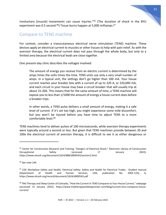involuntary [muscle] movements can cause injuries."<sup>65</sup> (The duration of shock in the BYU experiment was 0.5 second.<sup>66</sup>) Tissue burns happen at 5,000 milliamps.<sup>67</sup>

#### <span id="page-21-0"></span>Compare to TENS machine

For context, consider a transcutaneous electrical nerve stimulation (TENS) machine. These devices apply an electrical current to muscles or other tissues to help with pain relief. As with the aversion therapy, the electrical current does not pass through the whole body, but only to a limited area because the electrical leads are close together.

One present-day clinic describes the voltages involved:

The amount of energy you receive from an electric current is determined by the amps times the volts times the time. TENS units use only a very small number of amps. In a typical unit, the settings don't go higher than 100 mA. Your house current reaches your breaker box with a current of up to 220 A, or 220,000 mA, and each circuit in your house may have a circuit breaker that will usually trip at about 15-20A. This means that for the same amount of time, a TENS machine will expose you to less than 1/1000 the amount of energy a house current does before a breaker trips.

In other words, a TENS pulse delivers a small amount of energy, making it a safe level of current. If it's set too high, you might experience some mild discomfort, but you won't be injured before you have time to adjust TENS to a more comfortable level.<sup>68</sup>

TENS machines tend to deliver pulses of 100 microseconds, while aversion therapy experiments were typically around a second or less. But given that TENS machines provide between 20 and 100x the electrical current of aversion therapy, it is difficult to see it as either dangerous or

<sup>&</sup>lt;sup>65</sup> Center for Construction Research and Training, "Dangers of Electrical Shock," Electronic Library of Construction Occupational Safety (accessed 17 January 2022), https://www.elcosh.org/document/1624/888/d000543/section2.html.

 $66$  See note [144.](#page-41-3)

<sup>&</sup>lt;sup>67</sup> CDC Workplace Safety and Health, Electrical Safety: Safety and Health for Electrical Trades - Student manual (Department of Health and Human Services, USA, publication No. 2002-123), 6, https://www.elcosh.org/record/document/1624/d000543.pdf

<sup>&</sup>lt;sup>68</sup> TMJ Therapy and Sleep Center of Colorado, "How the Current In TENS Compares to Your House Current," webpage (accessed 15 January 2022), https://www.tmjtherapyandsleepcenter.com/blog/current-tens-compares-housecurrent/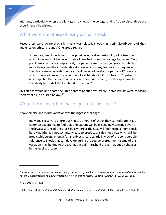injurious, particularly when the client gets to choose the voltage, and is free to discontinue the experiment if he wishes.

#### <span id="page-22-0"></span>What were the ethics of using a small shock?

Researchers were aware that, slight as it was, electric shock might still disturb some of their audience on ethical grounds. One group replied:

A final argument pertains to the possible ethical undesirability of a treatment which involves inflicting electric shocks—albeit from low voltage batteries. Two points may be made in reply. First, the patients are the best judges as to which is more bearable—the considerable distress which many feel as a consequence of their homosexual orientation, or a short period of weeks, for perhaps 12 hours of which they are in receipt of a number of electric shocks. Of our total of 73 patients, 63 completed their courses of aversion treatment. Second, the therapist now has the ability to predict the likelihood of success.  $69$ 

This stance would anticipate the later debates about how "freely" homosexuals were choosing therapy at all (discussed below). $70$ 

#### <span id="page-22-1"></span>Were there any other challenges to using shock?

Above all else, individual variation was the biggest challenge:

Individuals also vary enormously in the amount of shock they can tolerate. It is a common experience to find that one patient will be exceedingly sensitive even at the lowest setting of the shock-box, whereas the next will find the maximum shock hardly painful. It is not technically easy to produce a. safe shock-box which will be predictably strong enough for all subjects, particularly in view of the considerable tolerance to shock that can develop during the course of treatment. Some of this variation may be due to the changes in pain threshold brought about by changes in the level of anxiety. $71$ 

 $69$  MI MacCulloch, CJ Birtles, and MP Feldman, "Anticipatory Avoidance Learning for the Treatment of Homosexuality: Recent Developments and an Automatic Aversion Therapy System," *Behavior Therapy* 2 (1971):157–158.

 $70$  See note[s 119](#page-36-1)-[128.](#page-38-2)

<sup>71</sup> John Bancroft, *Deviant Sexual Behaviour: Modification and Assessment* (Oxford: Clarendon Press, 1974), 41.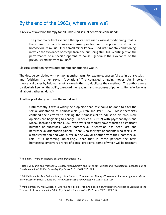# <span id="page-23-0"></span>By the end of the 1960s, where were we?

A review of aversion therapy for all undesired sexual behaviors concluded:

The great majority of aversion therapists have used classical conditioning, that is, the attempt is made to associate anxiety or fear with the previously attractive homosexual stimulus. Only a small minority have used instrumental conditioning, in which the avoidance or escape from the punishing stimulus is contingent on the performance of a specific operant response—generally the avoidance of the previously attractive stimulus.<sup>72</sup>

Classical conditioning was out; operant conditioning was in.

The decade concluded with on-going enthusiasm. For example, successful use in transvestitism and fetishism,<sup>73</sup> other sexual "deviations,"<sup>74</sup> encouraged on-going hopes. An important theoretical paper by Feldman *et al*. allowed others to duplicate their methods. The authors were particularly keen on the ability to record the readings and responses of patients. Behaviorism was all about gathering data.<sup>75</sup>

Another pilot study captures the mood well:

Until recently it was a widely held opinion that little could be done to alter the sexual orientation of homosexuals (Curran and Parr, 1957). Most therapists confined their efforts to helping the homosexual to adjust to his role. Now opinions are beginning to change. Bieber et al. (1962) with psychoanalysis and MacCulloch and Feldman (1967) with aversion therapy have reported a significant number of successes—where homosexual orientation has been lost and heterosexual orientation gained. There is no shortage of patients who seek such a transformation and who suffer in one way or another from their homosexual role. It is becoming increasingly clear that in these patients the term homosexuality covers a range of clinical problems, some of which will be resistant

<sup>72</sup> Feldman, "Aversion Therapy of Sexual Deviations," 61.

<sup>73</sup> Isaac M. Marks and Michael G. Gelder, "Transvestism and Fetishism: Clinical and Psychological Changes during Faradic Aversion," *British Journal of Psychiatry* 113 (1967): 711–729.

<sup>&</sup>lt;sup>74</sup> MP Feldman, MJ MacCulloch, Mary L. MacCulloch, "The Aversion Therapy Treatment of a Heterogeneous Group of Five Cases of Sexual Deviation," *Acta Psychiatrica Scandinavica* 44 (1968): 113–124

<sup>&</sup>lt;sup>75</sup> MP Feldman, MJ MacCulloch, JF Orford, and V Mellor, "The Application of Anticipatory Avoidance Learning to the Treatment of Homosexuality," *Acta Psychiatrica Scandinavica* 45/2 (June 1969): 109–117.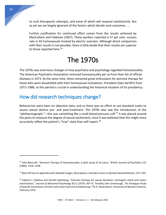to such therapeutic attempts, and some of which will respond satisfactorily. But as yet we are largely ignorant of the factors which decide such outcomes. …

Further justification for continued effort comes from the results achieved by MacCulloch and Feldman (1967). These workers reported a 57 per cent. success rate in 43 homosexuals treated by electric aversion. Although direct comparison with their results is not possible, there is little doubt that their results are superior to those reported here.<sup>76</sup>

# The 1970s

<span id="page-24-0"></span>The 1970s saw enormous changes in how psychiatry and psychology regarded homosexuality. The American Psychiatric Association removed homosexuality *per se* from their list of official diseases in 1973. At the same time, there remained great enthusiasm for aversive therapy for those who were dissatisfied with their homosexual inclinations. President Oaks led BYU from 1971–1980, so this period is crucial in understanding the historical situation of his presidency.

# <span id="page-24-1"></span>How did research techniques change?

Behaviorists were keen on objective data, and so there was an effort to use standard scales to assess sexual desires pre- and post-treatment. The 1970s also saw the introduction of the "plethysmograph,"—this was something like a small blood pressure cuff.<sup>77</sup> It was placed around the penis to measure the degree of sexual excitement, since it was believed that this might more accurately reflect the patient's "true" state than self-report.<sup>78</sup>

<sup>76</sup> John Bancroft, "Aversion Therapy of Homosexuality: A pilot study of 10 cases," *British Journal of Psychiatry* 115 (1969): 1418, 1428.

<sup>77</sup> Bancroft has an appendix with detailed images, descriptions, and data traces in *Deviant Sexual Behavior*, 227–233.

 $78$  Edward J. Callahax and Harold Leitenberg, "Aversion therapy for sexual deviation: contingent shock and covert sensitization," *Journal of Abnormal Psychology* 81/1 (1973): 60–73; Timothy John Greenough, "An Analogue Study of Specific Parameters of Overt and Covert Aversive Conditioning," Ph.D. dissertation, University of Western Ontario, February 1976.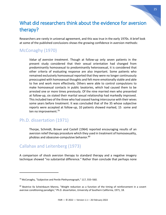# <span id="page-25-0"></span>What did researchers think about the evidence for aversion therapy?

Researchers are rarely in universal agreement, and this was true in the early 1970s. A brief look at some of the published conclusions shows the growing confidence in aversion methods:

#### <span id="page-25-1"></span>McConaghy (1970)

*Value of aversive treatment*. Though at follow-up only seven patients in the present study considered that their sexual orientation had changed from predominantly homosexual to predominantly heterosexual, it is considered that other criteria of evaluating response are also important. Some patients who remained exclusively homosexual reported that they were no longer continuously preoccupied with homosexual thoughts and felt more emotionally stable and able to live and work more effectively. Others were able to control compulsions to make homosexual contacts in public lavatories, which had caused them to be arrested one or more times previously. Of the nine married men who presented at follow-up, six stated their marital sexual relationship had markedly improved. This included two of the three who had ceased having intercourse with their wives some years before treatment. It was concluded that of the 35 whose subjective reports were accepted at follow-up, 10 patients showed marked, 15 some and ten no improvement.<sup>79</sup>

#### <span id="page-25-2"></span>Ph.D. dissertation (1971)

 $\overline{a}$ 

Thorpe, Schmidt, Brown and Castell (1964) reported encouraging results of an aversion relief therapy procedure which they used in treatment of homosexuality, phobias and obsessive-compulsive behavior.<sup>80</sup>

#### <span id="page-25-3"></span>Callahax and Leitenberg (1973)

A comparison of shock aversion therapy to standard therapy and a negative imagery technique showed "no substantial difference." Rather than conclude that perhaps none

<sup>&</sup>lt;sup>79</sup> McConaghy, "Subjective and Penile Plethysmograph," 117, 555-560.

<sup>80</sup> Beatrice Ila Scheinbaum Manno, "Weight reduction as a function of the timing of reinforcement in a covert aversive conditioning paradigm," Ph.D. dissertation, University of Southern California, 1971, 18.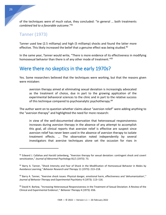of the techniques were of much value, they concluded: "in general … both treatments *combined led to a favorable outcome*."<sup>81</sup>

#### <span id="page-26-0"></span>Tanner (1973)

 $\overline{a}$ 

Tanner used low (2.5 milliamp) and high (5 milliamp) shocks and found the latter more effective. This likely increased the belief that a genuine effect was being studied.<sup>82</sup>

In the same year, Tanner would write, "There is more evidence of its effectiveness in modifying homosexual behavior than there is of any other mode of treatment."<sup>83</sup>

## <span id="page-26-1"></span>Were there no skeptics in the early 1970s?

Yes. Some researchers believed that the techniques were working, but that the reasons given were mistaken:

aversion therapy aimed at eliminating sexual deviation is increasingly advocated as the treatment of choice, due in part to the growing application of the experimental behavioral sciences to the clinic and in part to the relative success of this technique compared to psychoanalytic psychotherapy.<sup>84</sup>

The author went on to question whether claims about "aversion relief" were adding anything to the "aversion therapy" and highlighted the need for more research:

in view of the well-documented observation that heterosexual responsiveness increases during aversion therapy in the absence of any attempt to accomplish this goal, all clinical reports that aversion relief is effective are suspect since aversion relief has never been used in the absence of aversion therapy to isolate treatment effects. … The observation noted independently by several investigators that aversive techniques alone set the occasion for rises in

<sup>81</sup> Edward J. Callahax and Harold Leitenberg, "Aversion therapy for sexual deviation: contingent shock and covert sensitization," *Journal of Abnormal Psychology* 81/1 (1973): 73.

<sup>82</sup> Barry A. Tanner, "Shock Intensity and Fear of Shock in the Modification of Homosexual Behavior in Males by Avoidance Learning," *Behavior Research and Therapy* 11 (1973): 213–218.

<sup>83</sup> Barry A. Tanner, "Aversive shock issues: Physical danger, emotional harm, effectiveness and 'dehumanization'," *Journal of Behavior Therapy and Experimental Psychiatry* 4 (1973): 113–116.

<sup>84</sup> David H. Barlow, "Increasing Heterosexual Responsiveness in the Treatment of Sexual Deviation: A Review of the Clinical and Experimental Evidence'," *Behavior Therapy* 4 (1973): 656.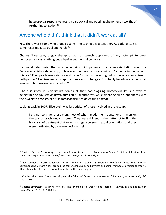heterosexual responsiveness is a paradoxical and puzzling phenomenon worthy of further investigation.<sup>85</sup>

## <span id="page-27-0"></span>Anyone who didn't think that it didn't work at all?

Yes. There were some who argued against the techniques altogether. As early as 1964, some regarded it as cruel and harsh.<sup>86</sup>

Charles Silverstein, a gay therapist, was a staunch opponent of any attempt to treat homosexuality as anything but a benign and normal behavior.

He would later insist that anyone working with patients to change orientation was in a "sadomasochistic relationship," while aversion therapists were guilty of "violence in the name of science." Even psychoanalysis was said to be "primarily the acting out of the sadomasochism of both parties." He dismissed any reports of successful change as "probably based on a rather small sample of homosexual masochists."<sup>87</sup>

(There is irony in Silverstein's complaint that pathologizing homosexuality is a way of delegitimizing gay sex via psychiatry's cultural authority, while smearing all his opponents with the psychiatric construct of "sadomasochism" to delegitimize *them*.)

Looking back in 2007, Silverstein was less critical of those involved in the research:

 $\overline{a}$ 

I did not consider these men, most of whom made their reputations in aversion therapy or psychoanalysis, cruel. They were diligent in their attempt to find the holy grail of treatment that would change a person's sexual orientation, and they were motivated by a sincere desire to help.<sup>88</sup>

<sup>85</sup> David H. Barlow, "Increasing Heterosexual Responsiveness in the Treatment of Sexual Deviation: A Review of the Clinical and Experimental Evidence'," *Behavior Therapy* 4 (1973): 659, 667.

<sup>86</sup> FA Whitlock, "Correspondence," *British Medical Journal* (15 February 1964):437 (Note that another correspondent, Clifford Allen, praised the same technique as "a harmless and useful method of aversion therapy … [that] should be of great use for outpatients" on the same page.]

<sup>87</sup> Charles Silverstein, "Homosexuality and the Ethics of Behavioral Intervention," *Journal of Homosexuality* 2/3 (1977): 208.

<sup>88</sup> Charles Silverstein, "Wearing Two Hats: The Psychologist as Activist and Therapist," *Journal of Gay and Lesbian Psychotherapy* 11/3–4 (2007): 25.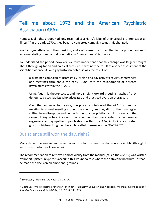# <span id="page-28-0"></span>Tell me about 1973 and the American Psychiatric Association (APA)

Homosexual rights groups had long resented psychiatry's label of their sexual preferences as an illness. $89$  In the early 1970s, they began a concerted campaign to get this changed.

We can sympathize with their position, and even agree that it resulted in the proper course of action—labeling homosexual orientation a "mental illness" is unwise.

To understand the period, however, we must understand that this change was largely brought about through agitation and political pressure. It was not the result of a sober assessment of the scientific evidence. As one gay historian noted, it was the result of

a sustained campaign of protests by lesbian and gay activists at APA conferences and meetings throughout the early 1970s, with the collaboration of closeted psychiatrists within the APA. …

Using "guerrilla theater tactics and more straightforward shouting matches," they denounced psychiatrists who advocated and practiced aversion therapy. ...

Over the course of four years, the protesters followed the APA from annual meeting to annual meeting around the country. As they did so, their strategies shifted from disruption and denunciation to appropriation and inclusion, and the range of key actors involved diversified as they were aided by conference organizers and sympathetic psychiatrists within the APA, including a closeted group of high-ranking members who called themselves the "GAYPA."<sup>90</sup>

#### <span id="page-28-1"></span>But science still won the day, right?

Many did not believe so, and in retrospect it is hard to see the decision as scientific (though it accords with what we know now).

The recommendation to remove homosexuality from the manual (called the *DSM-II*) was written by Robert Spitzer. In Spitzer's account, this was not a case where the data convinced him. Instead, he made the decision on emotional grounds:

<sup>89</sup> Silverstein, "Wearing Two Hats," 10, 15-17.

<sup>90</sup> Geeti Das, "Mostly Normal: American Psychiatric Taxonomy, Sexuality, and Neoliberal Mechanisms of Exclusion," *Sexuality Research and Social Policy* 13 (2016): 390–393.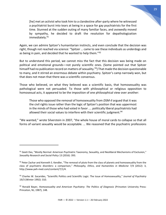[he] met an activist who took him to a clandestine after-party where he witnessed a psychiatrist burst into tears at being in a space for gay psychiatrists for the first time. Stunned at the sudden outing of many familiar faces, and avowedly moved by sympathy, he decided to draft the resolution for depathologization immediately.<sup>91</sup>

Again, we can admire Spitzer's humanitarian instincts, and even conclude that the decision was right, though not reached via science: "Spitzer … came to see these individuals as underdogs and as being in pain, and decided that he wanted to help them."<sup>92</sup>

But to understand this period, we cannot miss the fact that this decision was being made on political and emotional grounds—not purely scientific ones. (Some pointed out that Spitzer himself had no publication record on matters of sexuality.<sup>93</sup>) That made the decision questionable to many, and it stirred an enormous debate within psychiatry. Spitzer's camp narrowly won, but that does not mean that there was a scientific consensus.

Those who believed, on what they believed was a scientific basis, that homosexuality was pathological were not persuaded. To those with philosophical or religious opposition to homosexual acts, it appeared to be the imposition of one philosophical view over another:

Those who opposed the removal of homosexuality from *DSM-II* argued that it was the civil rights issue rather than the logic of Spitzer's position that was uppermost in the minds of those who had voted in favor .... politically liberal psychiatrists had allowed their social values to interfere with their scientific judgment.<sup>94</sup>

"We wanted," wrote Silverstein in 2007, "the whole house of moral cards to collapse so that all forms of variant sexuality would be acceptable. … We reasoned that the psychiatric professions

<sup>91</sup> Geeti Das, "Mostly Normal: American Psychiatric Taxonomy, Sexuality, and Neoliberal Mechanisms of Exclusion," *Sexuality Research and Social Policy* 13 (2016): 393.

 $92$  Peter Zachar and Kenneth S. Kendler, "The removal of pluto from the class of planets and homosexuality from the class of psychiatric disorders: a comparison," *Philosophy, Ethics, and Humanities in Medicine* 7/4 (2012): 3, http://www.peh-med.com/content/7/1/4.

<sup>93</sup> Charles W. Socarides, "Scientific Politics and Scientific Logic: The Issue of Homosexuality," *Journal of Psychiatry*  19/3 (Winter 1992): 310.

<sup>94</sup> Ronald Bayer, *Homosexuality and American Psychiatry: The Politics of Diagnosis* (Princeton University Press: Princeton, NJ, 1987), 148.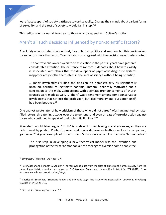were 'gatekeepers' of society's attitude toward sexuality. Change their minds about variant forms of sexuality, and the rest of society … would fall in step."<sup>95</sup>

This radical agenda was all too clear to those who disagreed with Spitzer's motion.

#### <span id="page-30-0"></span>Aren't all such decisions influenced by non-scientific factors?

Absolutely—no such decision is entirely free of human politics and emotion, but this one involved those factors more than most. Two historians who agreed with the decision nevertheless noted:

The controversies over psychiatric classification in the past 30 years have garnered considerable attention. The existence of rancorous debates about how to classify is associated with claims that the developers of psychiatric diagnostic systems inappropriately clothe themselves in the aura of science without being scientific.

… many psychiatrists vilified the decision on homosexuality as scientifically unsound, harmful to legitimate patients, immoral, politically motivated and a concession to the mob. Comparisons with dogmatic pronouncements of church councils were made as well. … [There] was a sentiment among some conservative psychiatrists that not just the profession, but also morality and civilization itself, had been betrayed. 96

One analyst wrote later of how criticism of those who did not agree "w[as] augmented by hatefilled letters, threatening attacks over the telephone, and even threats of terrorist action against those who continued to speak of their scientific findings." 97

Silverstein would later argue: "'truth' is irrelevant in explaining social advances, as they are determined by politics. Politics is power and power determines truth as well as its companion, goodness."<sup>98</sup> A good example of this attitude is Silverstein's account of the term "homophobia":

The first step in developing a new theoretical model was the invention and propagation of the term "homophobia," the feelings of aversion some people feel

<sup>95</sup> Silverstein, "Wearing Two Hats," 17.

<sup>96</sup> Peter Zachar and Kenneth S. Kendler, "The removal of pluto from the class of planets and homosexuality from the class of psychiatric disorders: a comparison," *Philosophy, Ethics, and Humanities in Medicine* 7/4 (2012), 1, 4, http://www.peh-med.com/content/7/1/4.

<sup>97</sup> Charles W. Socarides, "Scientific Politics and Scientific Logic: The Issue of Homosexuality," *Journal of Psychiatry*  19/3 (Winter 1992): 310.

<sup>98</sup> Silverstein, "Wearing Two Hats," 17.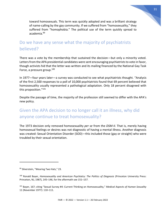toward homosexuals. This term was quickly adopted and was a brilliant strategy of name-calling by the gay community. If we suffered from "homosexuality," they suffered from "homophobia." The political use of the term quickly spread to academia. 99

#### <span id="page-31-0"></span>Do we have any sense what the majority of psychiatrists believed?

There was a vote by the membership that sustained the decision—but only a minority voted. Letters from the APA presidential candidates were sent encouraging psychiatrists to vote in favor, though activists hid that the letter was written and its mailing financed by the National Gay Task Force, a pressure group.<sup>100</sup>

In 1977—four years later—a survey was conducted to see what psychiatrists thought. "Analysis of the first 2,500 responses to a poll of 10,000 psychiatrists found that 69 percent believed that homosexuality usually represented a pathological adaptation. Only 18 percent disagreed with this proposition." 101

Despite the passage of time, the majority of the profession still seemed to differ with the APA's new policy.

## <span id="page-31-1"></span>Given the APA decision to no longer call it an illness, why did anyone continue to treat homosexuality?

The 1973 decision only removed homosexuality *per se* from the *DSM-II*. That is, merely having homosexual feelings or desires was not diagnostic of having a mental illness. Another diagnosis was created: Sexual Orientation Disorder (SOD)—this included those (gay or straight) who were troubled by their sexual orientation.

<sup>&</sup>lt;sup>99</sup> Silverstein, "Wearing Two Hats," 23.

<sup>100</sup> Ronald Bayer, *Homosexuality and American Psychiatry: The Politics of Diagnosis* (Princeton University Press: Princeton, NJ, 1987), 145–146, for the aftermath see 151–157.

<sup>101</sup> Bayer, 167; citing "Sexual Survey #4: Current Thinking on Homosexuality," *Medical Aspects of Human Sexuality*  11 (November 1977): 110–111.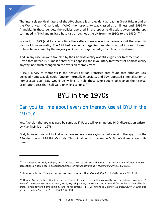The intensely political nature of the APA change is also evident abroad. In Great Britain and at the World Health Organization (WHO), homosexuality was classed as an illness until 1992.<sup>102</sup> Arguably, in those venues, the politics operated in the opposite direction. Aversion therapy continued in "NHS and military hospitals throughout the UK from the 1950s to the 1980s."<sup>103</sup>

In short, in 1973 (and for a long time thereafter) there was no consensus about the scientific status of homosexuality. The APA had reached an organizational decision, but it does not seem to have been shared by the majority of American psychiatrists, much less those abroad.

And, in any case, anyone troubled by their homosexuality was still eligible for treatment as SOD. Given that before 1973 most behaviorists opposed the involuntary treatment of homosexuality anyway, not much changed on the aversion therapy front.

A 1973 survey of therapists in the heavily-gay San Francisco area found that although 98% believed homosexuals could function normally in society, and 99% opposed criminalization of homosexual acts, 38% would be willing to help those who sought to change their sexual orientation. Less than half were unwilling to do so.<sup>104</sup>

# BYU in the 1970s

# <span id="page-32-1"></span><span id="page-32-0"></span>Can you tell me about aversion therapy use at BYU in the 1970s?

Yes. Aversion therapy was used by some at BYU. We will examine one PhD. dissertation written by Max McBride in 1976.

First, however, we will look at what researchers were saying about aversion therapy from the APA decision until McBride's study. This will allow us to examine McBride's dissertation in its time.

 $102$  T Dickinson, M Cook, J Playle, and C Hallett, "Nurses and subordination: a historical study of mental nurses' perceptions on administering aversion therapy for 'sexual deviations'," *Nursing Inquiry* 2014; 21: 283.

<sup>103</sup> Tommy Dickinson, "Nursing history: aversion therapy," *Mental Health Practice* 13/5 (February 2010): 31.

<sup>104</sup> Donna Aileen Coffin, "Windows in the Closet: Perspectives on Homosexuality for the helping professions," master's thesis, University of Arizona, 1986, 91; citing J Fort, CM Steiner, and F Conrad, "Attitudes of mental health professionals toward homosexuality and its treatment," in HM Ruitenbeck, editor, *Homosexuality: A changing picture* (London: Souvenir Press, 1966), 157–158.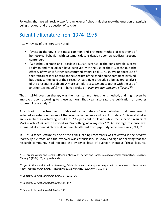Following that, we will review two "urban legends" about this therapy—the question of genitals being shocked, and the question of suicide.

# <span id="page-33-0"></span>Scientific literature from 1974–1976

A 1974 review of the literature noted:

- "aversion therapy is the most common and preferred method of treatment of homosexual behavior, with systematic desensitization a somewhat distant second contender."
- "We echo Bachman and Teasdale's (1969) surprise at the considerable success Feldman and MacCulloch have achieved with the use of their … technique (the efficacy of which is further substantiated by Birk et al. 1971 study), not because of theoretical reasons relating to the specifics of the conditioning paradigm involved, but because the logic of their research paradigm precluded a behavioral analysis of the presenting problem. A more complete assessment together with the use of another technique(s) might have resulted in *even greater outcome efficacy*."<sup>105</sup>

Thus in 1974, aversion therapy was the most common treatment method, and might even be improved upon according to these authors. That year also saw the publication of another successful case study.<sup>106</sup>

A textbook on the treatment of "deviant sexual behavior" was published that same year. It included an extensive review of the aversive techniques and results to date.<sup>107</sup> Several studies are described as achieving results of "33 per cent or less," while the superior results of MacCulloch *et al*. are described as "something of a mystery."<sup>108</sup> An average response was estimated at around 40% overall, not much different from psychodynamic successes (39%).<sup>109</sup>

In 1975, a taped lecture by one of the field's leading researchers was reviewed in the *Medical Journal of Australia*, and the reviewer was enthusiastic. He shows no sign of believing that the research community had rejected the evidence base of aversion therapy: "These lectures,

<sup>105</sup> G. Terence Wilson and Gerald C. Davison, "Behavior Therapy and Homosexuality: A Critical Perspective," *Behavior Therapy* 5 (1974): 25, emphasis added.

<sup>106</sup> Lynn P. Rhem and Ronald H. Rozensky, "Multiple behavior therapy techniques with a homosexual client: a case study," *Journal of Behavioral, Therapeutic & Experimental Psychiatry* 5 (1974): 54.

<sup>107</sup> Bancroft, *Deviant Sexual Behavior*, 35–42, 52–143.

<sup>108</sup> Bancroft, *Deviant Sexual Behavior*, 145, 147.

<sup>109</sup> Bancroft, *Deviant Sexual Behavior*, 148.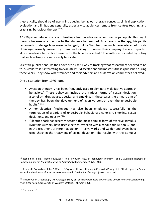theoretically, should be of use in introducing behaviour therapy concepts, clinical application, evaluation and limitations generally, especially to audiences remote from centres teaching and practising behaviour therapy."<sup>110</sup>

A 1976 paper detailed success in treating a teacher who was a homosexual pedophile. He sought therapy because of attraction to the students he coached. After aversion therapy, his penile response to underage boys were unchanged, but he "had become much more interested in girls of his age, sexually aroused by them, and willing to pursue their company. He also reported almost no desire to involve himself with the boys he coached." The authors concluded by noting that such self-reports were easily fabricated.<sup>111</sup>

Scientific publications like the above are a useful way of tracking what researchers believed to be true. Similarly, it is interesting to evaluate PhD dissertations and master's theses published during these years. They show what trainees and their advisers and dissertation committees believed.

One dissertation from 1976 noted:

- Aversion therapy … has been frequently used to eliminate maladaptive approach behaviors." These behaviors include the various forms of sexual deviation, alcoholism, drug abuse, obesity, and smoking. In these cases the primary aim of therapy has been the development of aversive control over the undesirable habits." <sup>112</sup>
- A non-electrical "technique has also been employed successfully in the termination of a variety of undesirable behaviors; alcoholism, smoking, sexual deviations, and obesity."<sup>113</sup>
- "Electric shock has recently become the most popular form of aversive stimulus. [Multiple Authors] have used electrical aversion with alcoholic addi[c]tion ... [and] in the treatment of Heroin addiction. Finally, Marks and Gelder and Evans have used shock in the treatment of sexual deviation. The results with this stimulus

<sup>113</sup> Greenough, 1.

<sup>110</sup> Ronald W. Field, "Book Reviews: A Neo-Pavlovian View of Behaviour Therapy: Tape 2-Aversion Therapy of Homosexuality," in *Medical Journal of Australia* (20 September 1975): 489.

<sup>111</sup> Stanley R. Conrad and John P. Wincze, "Orgasmic Reconditioning: A Controlled Study of Its Effects upon the Sexual Arousal and Behavior of Adult Male Homosexuals," *Behavior Therapy* 7 (1976): 163, 166.

<sup>&</sup>lt;sup>112</sup> Timothy John Greenough, "An Analogue Study of Specific Parameters of Overt and Covert Aversive Conditioning," Ph.D. dissertation, University of Western Ontario, February 1976.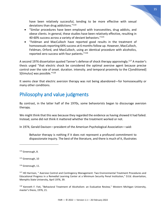have been relatively successful, tending to be more effective with sexual deviations than drug addictions."<sup>114</sup>

- "Similar procedures have been employed with transvestites, drug addicts, and obese clients. In general, these studies have been relatively effective, resulting in 40-60% success across a variety of deviant behaviors."<sup>115</sup>
- "Feldman and MacCulloch have reported good results in the treatment of homosexuals reporting 64% success at 6 months follow up. However, MacCulloch, Feldman, Orford, and MacCulloch, using an identical procedure with alcoholics, reported zero success with four patients."<sup>116</sup>

A second 1976 dissertation quoted Tanner's defense of shock therapy approvingly.<sup>117</sup> A master's thesis urged "that electric shock be considered the optimal aversive agent because precise control over the rate of onset. duration. intensity. and temporal proximity to the C[onditioned] S[timulus] was possible."<sup>118</sup>

It seems clear that electric aversion therapy was not being abandoned—for homosexuality or many other conditions.

# <span id="page-35-0"></span>Philosophy and value judgments

By contrast, in the latter half of the 1970s, some behaviorists began to discourage aversion therapy.

We might think that this was because they regarded the evidence as having showed it had failed. Instead, some did not think it mattered whether the treatment worked or not.

In 1974, Gerald Davison—president of the American Psychological Association—said:

Behavior therapy is nothing if it does not represent a profound commitment to dispassionate inquiry. The best of the literature, and there is much of it, illustrates

 $\overline{a}$ 

<sup>118</sup> Kenneth F. Foti, "Behavioral Treatment of Alcoholism: an Evaluative Review," Western Michigan University, master's thesis, 1976, 21.

<sup>&</sup>lt;sup>114</sup> Greenough, 8.

<sup>&</sup>lt;sup>115</sup> Greenough, 10

<sup>116</sup> Greenough, 11.

<sup>&</sup>lt;sup>117</sup> HD Harrison, " Aversive Control and Contingency Management: Two Environmental Treatment Procedures and Educational Progress in a Remedial Learning Center at a Minimum Security Penal Institution," D.Ed. dissertation, Memphis State University, April 1976, 39.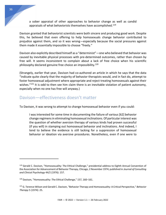<span id="page-36-1"></span>a sober appraisal of other approaches to behavior change as well as candid appraisals of what behaviorists themselves have accomplished.<sup>119</sup>

Davison granted that behaviorist scientists were both sincere and producing good work. Despite this, he believed that even offering to help homosexuals change behavior contributed to prejudice against them, and so it was wrong—especially because the social pressures against them made it essentially impossible to choose "freely."

Davison also explicitly described himself as a "determinist"—one who believed that behavior was caused by inevitable physical processes with pre-determined outcomes, rather than chosen by free will. It seems inconsistent to complain about a lack of free choice when his scientific philosophy declared genuine free choice an impossibility.<sup>120</sup>

(Strangely, earlier that year, Davison had co-authored an article in which he says that the data "indicate quite clearly that the majority of behavior therapists would, and in fact do, attempt to foster homosexual adjustment where appropriate and reject treating homosexuals against their wishes. $"^{121}$  It is odd to then see him claim there is an inevitable violation of patient autonomy, especially when no one has free will anyway.)

#### <span id="page-36-0"></span>Davison—effectiveness doesn't matter

To Davison, it was wrong to attempt to change homosexual behavior even if you could:

I was interested for some time in documenting the failure of various [62] behavior change regimens in eliminating homosexual inclinations. Of particular interest was the question of whether aversion therapy of various kinds had proven successful (if you will) in stamping out homosexual behavior and inclinations. And indeed, I tend to believe the evidence is still lacking for a suppression of homosexual behavior or ideation via aversive procedures. Nonetheless, even if one were to

<sup>&</sup>lt;sup>119</sup> Gerald C. Davison, "Homosexuality: The Ethical Challenge," presidential address to Eighth Annual Convention of the Association for Advancement of Behavior Therapy, Chicago, 2 November 1974; published in *Journal of Consulting and Clinical Psychology* 44/2 (1976): 157.

<sup>120</sup> Davison, "Homosexuality: The Ethical Challenge," 157, 160-161.

<sup>121</sup> G. Terence Wilson and Gerald C. Davison, "Behavior Therapy and Homosexuality: A Critical Perspective," *Behavior Therapy* 5 (1974): 25.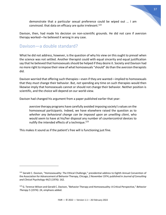demonstrate that a particular sexual preference could be wiped out … I am convinced. that data on efficacy are quite irrelevant.<sup>122</sup>

Davison, then, had made his decision on non-scientific grounds. He did not care if aversion therapy worked—he believed it wrong in any case.

#### <span id="page-37-0"></span>Davison—a double standard?

What he did not address, however, is the question of why his view on this ought to prevail when the science was not settled. Another therapist could with equal sincerity and equal justification say that he believed that homosexuals should be helped if they desire it. Society and Davison had no more right to impose their view of what homosexuals "should" do than the aversion therapists did.

Davison worried that offering such therapies—even if they are wanted—implied to homosexuals that they *must* change their behavior. But, *not* spending any time on such therapies would then likewise imply that homosexuals cannot or should not change their behavior. Neither position is scientific, and the choice will depend on our world-view.

Davison had changed his argument from a paper published earlier that year:

aversive therapy programs have carefully avoided imposing society's values on the homosexual participants. Indeed, we have elsewhere raised the question as to *whether any behavioral change can be imposed upon an unwilling client*, who would seem to have at his/her disposal any number of countercontrol devices to nullify the intended effects of a technique. 123

This makes it sound as if the patient's free will is functioning just fine.

<sup>&</sup>lt;sup>122</sup> Gerald C. Davison, "Homosexuality: The Ethical Challenge," presidential address to Eighth Annual Convention of the Association for Advancement of Behavior Therapy, Chicago, 2 November 1974; published in *Journal of Consulting and Clinical Psychology* 44/2 (1976): 162.

<sup>123</sup> G. Terence Wilson and Gerald C. Davison, "Behavior Therapy and Homosexuality: A Critical Perspective," *Behavior Therapy* 5 (1974): 24, emphasis added.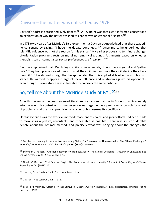#### <span id="page-38-0"></span>Davison—the matter was not settled by 1976

Davison's address occasioned lively debate.<sup>124</sup> A key point was that clear, informed consent and an exploration of *why* the patient wished to change was an essential first step. 125

In 1978 (two years after McBride's BYU experiments) Davison acknowledged that there was still no consensus by saying, "I hope the debate continues." <sup>126</sup> Once more, he underlined that scientific evidence was not the reason for his stance: "My earlier proposal to terminate changeof-orientation programs rests on moral not empirical grounds. Arguments based on whether therapists can or cannot alter sexual preferences *are irrelevant*." 127

<span id="page-38-2"></span>Davison emphasized that "Psychologists, like other scientists, do not merely go out and 'gather data.' They hold preconceived ideas of what they will find and how they will decide they have found it."<sup>128</sup> He showed no sign that he appreciated that this applied at least equally to his own stance. He wanted to apply a charge of social influence and relativism against his opponents, even though his own stance was vulnerable to precisely the same critique.

# <span id="page-38-1"></span>So, tell me about the McBride study at BYU?<sup>129</sup>

After this review of the peer-reviewed literature, we can see that the McBride study fits squarely into the scientific context of its time. Aversion was regarded as a promising approach for a host of problems, and the most promising available for homosexuality specifically.

Electric aversion was the aversive method treatment of choice, and great efforts had been made to make it as objective, recordable, and repeatable as possible. There was still considerable debate about the optimal method, and precisely what was bringing about the changes the

<sup>124</sup> For the psychoanalytic perspective, see Irving Bieber, "A Discussion of Homosexuality: The Ethical Challenge,'" *Journal of Consulting and Clinical Psychology* 44/2 (1976): 163–166.

<sup>125</sup> Seymour L. Halleck, "Another Response to 'Homosexuality: The Ethical Challenge'," *Journal of Consulting and Clinical Psychology* 44/2 (1976): 167-170.

<sup>126</sup> Gerald C. Davison, "Not Can but Ought: The Treatment of Homosexuality," *Journal of Consulting and Clinical Psychology* 46/1 (1978): 172.

<sup>127</sup> Davison, "Not Can but Ought," 170, emphasis added.

<sup>128</sup> Davison, "Not Can but Ought," 171.

<sup>129</sup> Max Ford McBride, "Effect of Visual Stimuli in Electric Aversion Therapy," Ph.D. dissertation, Brigham Young University, 1976.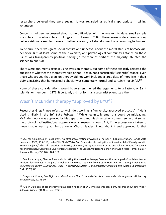researchers believed they were seeing. It was regarded as ethically appropriate in willing volunteers.

Concerns had been expressed about some difficulties with the research to date: small sample sizes, lack of controls, lack of long-term follow-up. $130$  But these were widely seen among behaviorists as reason for more and better research, not abandonment of a promising technique.

To be sure, there was great social conflict and upheaval about the moral status of homosexual behavior. But, at least some of the psychiatry and psychological community's stance on these issues was transparently political, having (in the view of perhaps the majority) shunted the science to one side.

There were arguments against using aversion therapy, but some of these explicitly rejected the question of whether the therapy worked or not—again, not a particularly "scientific" stance. Even those who argued that aversion therapy did not work included a large dose of moralism in their claims, insisting that homosexual behavior was completely normal and certainly not sinful.<sup>131</sup>

None of these considerations would have strengthened the arguments to a Latter-day Saint scientist or member in 1976. It certainly did not for many secularist scientists either.

#### <span id="page-39-0"></span>Wasn't McBride's therapy "approved by BYU"?

 $\overline{a}$ 

Researcher Greg Prince refers to McBride's work as a "university-approved protocol."132 He is cited similarly in the *Salt Lake Tribune.*<sup>133</sup> While technically true, this could be misleading. McBride's work was approved by his department and his dissertation committee. In that sense, the protocol had institutional approval—as all research should. But, if the expression is taken to mean that university administration or Church leaders knew about it and approved it, that

<sup>130</sup> See, for example, John Paul Foreyt, "Control of Overeating by Aversion Therapy," Ph.D. dissertation, Florida State University, 1969, 115–118; Leslie Ellin Bloch Weiss, "An Exploratory Investigation of Aversion-Relief Paradigms with Human Subjects," Ph.D. dissertation, University of Hawaii, 1974; Stanley R. Conrad and John P. Wincze, "Orgasmic Reconditioning: A Controlled Study of Its Effects upon the Sexual Arousal and Behavior of Adult Male Homosexuals," *Behavior Therapy* 7 (1976): 164–166.

<sup>&</sup>lt;sup>131</sup> See, for example, Charles Silverstein, insisting that aversion therapy "serv[es] the same goal of social control as religious doctrine has in the past." Stephen J. Sansweet, *The Punishment Cure: How aversion therapy is being used to eliminate SMOKING, DRINKING, OBESITY, HOMOSEXUALITY ... and practically anything else* (Mason-Charter: New York, 1975), 80.

<sup>132</sup> Gregory A. Prince, *Gay Rights and the Mormon Church: Intended Actions, Unintended Consequences* (University of Utah Press, 2019), 90.

<sup>&</sup>lt;sup>133</sup> "Dallin Oaks says shock therapy of gays didn't happen at BYU while he was president. Records show otherwise," *Salt Lake Tribune* (16 November 2021).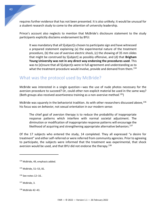requires further evidence that has not been presented. It is also unlikely; it would be unusual for a student research study to come to the attention of university leadership.

Prince's account also neglects to mention that McBride's disclosure statement to the study participants explicitly disclaims endorsement by BYU:

It was mandatory that all S[ubject]s chosen to participate sign and have witnessed a prepared statement explaining (a) the experimental nature of the treatment procedure, (b) the use of aversive electric shock, (c) the showing of 35 mm slides that might be construed by S[ubject] as possibly offensive, and (d) that **Brigham Young University was not in any direct way endorsing the procedures used**. This was to [e]nsure that all S[ubject]s were in full agreement and understanding as to what the treatment procedure would involve, provide and demand from them.<sup>134</sup>

#### <span id="page-40-0"></span>What was the protocol used by McBride?

McBride was interested in a single question—was the use of nude photos necessary for the aversion procedure to succeed? Or, could other non-explicit material be used in the same way? (Both groups also received assertiveness training as a non-aversive method.<sup>135</sup>)

McBride was squarely in the behaviorist tradition. As with other researchers discussed above,<sup>136</sup> his focus was on *behavior*, not sexual orientation in our modern sense:

The chief goal of aversion therapy is to reduce the probability of inappropriate response patterns which interfere with normal societal adjustment. The diminution or modification of inappropriate response patterns will encourage the likelihood of acquiring and strengthening appropriate alternative behaviors. 137

Of the 17 subjects who entered the study, 14 completed. They all expressed "a desire for treatment" and either self-referred or were referred from community agencies. Prior to agreeing to participate, the subjects were informed that the treatment was experimental, that shock aversion would be used, and that BYU did not endorse the therapy.<sup>138</sup>

<sup>134</sup> McBride, 49, emphasis added.

<sup>135</sup> McBride, 51–53, 81.

<sup>136</sup> See notes [12](#page-9-1)–[16.](#page-10-1).

 $137$  McBride, 3.

<sup>138</sup> McBride 42–43.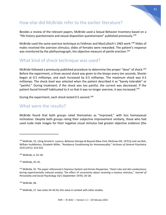#### <span id="page-41-0"></span>How else did McBride refer to the earlier literature?

Besides a review of the relevant papers, McBride used a Sexual Behavior Inventory based on a "life history questionnaire and sexual disposition questionnaire" published previously.<sup>139</sup>

McBride used the same aversive technique as Feldman and MacCulloch's 1965 work.<sup>140</sup> Slides of males received the aversion stimulus; slides of females were rewarded. The patient's response was monitored by the plethysmograph, the objective measure of penile erection.<sup>141</sup>

#### <span id="page-41-1"></span>What kind of shock technique was used?

McBride followed a previously published procedure to determine the proper "dose" of shock.<sup>142</sup> Before the experiment, a three second shock was given to the biceps every ten seconds. Shocks began at 0.5 milliamps, and each increased by 0.5 milliamps. The maximum shock was 4.5 milliamps. The shock level was selected when the patient described it as "barely tolerable" or "painful." During treatment, if the shock was too painful, the current was decreased. If the patient found himself habituated to it so that it was no longer aversive, it was increased.<sup>143</sup>

<span id="page-41-3"></span>During the experiment, each shock lasted 0.5 second.<sup>144</sup>

#### <span id="page-41-2"></span>What were the results?

McBride found that both groups rated themselves as "improved," with less homosexual inclination. Despite both groups rating their subjective improvement similarly, those who had used nude male images for their negative visual stimulus had greater objective evidence (the

 $\overline{a}$ 

 $143$  McBride, 46.

<sup>139</sup> McBride, 55, citing Arnold A. Lazarus, *Behavior therapy & Beyond* (New York, McGraw-Hill, 197[1]) and Lee Birk, William Huddleston, Elizabeth Miller, "Avoidance Conditioning for Homosexuality," *Archives of General Psychiatry* 25/4 (1971): 314-323.

<sup>140</sup> McBride, 4, 23–26.

<sup>141</sup> McBride, 35–41.

<sup>&</sup>lt;sup>142</sup> McBride, 55. The paper referenced is Seymour Epstein and Armen Roupenian, "Heart rate and skin conductance during experimentally induced anxiety: The effect of uncertainty about receiving a noxious stimulus," *Journal of Personality and Social Psychology* 16/1 (September 1970): 20–28.

<sup>144</sup> McBride, 27. See notes 54–65 for this value in context with other studies.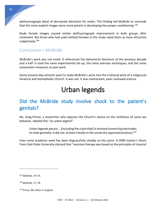plethysmograph data) of decreased attraction for males. This finding led McBride to conclude that the more explicit images were more potent in developing the proper conditioning.<sup>145</sup>

Nude female images caused similar plethysmograph improvement in both groups after treatment. But those who had used clothed females in the study rated them as more attractive subjectively.<sup>146</sup>

#### <span id="page-42-0"></span>Conclusion—McBride

McBride's work was not novel. It referenced the behaviorist literature of the previous decade and a half. It used the same experimental set-up, the same aversion techniques, and the same assessment measures as past work.

<span id="page-42-1"></span>Some present-day activists want to make McBride's work into the irrational work of a religiously fanatical and homophobic Church. It was not. It was mainstream, peer-reviewed science.

# Urban legends

# <span id="page-42-2"></span>Did the McBride study involve shock to the patient's genitals?

No. Greg Prince, a researcher who opposes the Church's stance on the sinfulness of same-sex behavior, labeled this "an urban legend":

Urban legends persist … [including the claim that] *it involved connecting electrodes*  to male genitalia. It did not, at least initially in the university-approved protocol.<sup>147</sup>

Even some academic work has been disgracefully shoddy on this point. A 2009 master's thesis from Utah State University claimed that "aversion therapy was based on the principles of classical

<sup>145</sup> McBride, 74–75.

<sup>146</sup> McBride, 77–78.

<sup>&</sup>lt;sup>147</sup> Prince, 90, italics in original.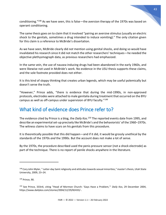conditioning."<sup>148</sup> As we have seen, this is false—the aversion therapy of the 1970s was based on operant conditioning.

The same thesis goes on to claim that it involved "pairing an aversive stimulus (usually an electric shock to the genitals, sometimes a drug intended to induce vomiting)." The only citation given for this claim is a reference to McBride's dissertation.

As we have seen, McBride clearly did *not* mention using genital shocks, and doing so would have invalidated his research since it did not match the other researchers' techniques—he needed the objective plethysmograph data, as previous researchers had emphasized.

In the same vein, the use of nausea-inducing drugs had been abandoned in the early 1960s, and were likewise not used in McBride's work. No evidence in the USU thesis supports these claims, and the sole footnote provided does not either.

It is this kind of sloppy thinking that creates urban legends, which may be useful polemically but doesn't serve the truth.

"However," Prince adds, "there is evidence that during the mid-1990s, in non-approved protocols, electrodes were attached to male genitalia during treatment that occurred on the BYU campus as well as off-campus under supervision of BYU faculty."<sup>149</sup>

# <span id="page-43-0"></span>What kind of evidence does Prince refer to?

The evidence cited by Prince is a blog, the *Daily Kos*.<sup>150</sup> The reported events date from 1995, and describe an experimental set-up precisely like McBride's and the behaviorists' of the 1960–1970s. The witness claims to have scars on his genitals from this procedure.

It is theoretically possible that this did happen—and if it did, it would be grossly unethical by the standards of the 1970s *and* the 1990s. But the account does not make a lot of sense.

By the 1970s, the procedure described used the penis pressure sensor (not a shock electrode) as part of the technique. There is no report of penile shocks anywhere in the literature.

<sup>149</sup> Prince, 90.

<sup>&</sup>lt;sup>148</sup> Cory John Myler, "Latter-day Saint religiosity and attitudes towards sexual minorities," master's thesis, Utah State University, 2009, 23–24.

<sup>150</sup> See Prince, 333n4, citing "Head of Mormon Church: 'Gays Have a Problem,'" *Daily Kos*, 29 December 2004, https://www.dailykos.com/stories/2004/12/29/82433/-.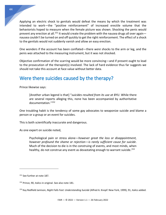Applying an electric shock to genitals would defeat the means by which the treatment was intended to work—the "positive reinforcement" of increased erectile volume that the behaviorists hoped to measure when the female picture was shown. Shocking the penis would prevent any erection at all.<sup>151</sup> It would create the problem with the nausea drugs all over again nausea couldn't be turned on and off quickly to get the right reinforcement. The effect of a shock to the genitals would not suddenly vanish and allow an easy erection.

One wonders if the account has been conflated—there *were* shocks to the arm or leg, and the penis *was* attached to the measuring instrument, but it was not shocked.

Objective confirmation of the scarring would be more convincing—and if present ought to lead to the prosecution of the therapist(s) involved. The lack of hard evidence thus far suggests we should not take this account at face value without better data.

# <span id="page-44-0"></span>Were there suicides caused by the therapy?

Prince likewise says:

[Another urban legend is that] "*suicides resulted from its use at BYU*. While there are several reports alleging this, none has been accompanied by authoritative documentation." 152

One troubling habit is the tendency of some gay advocates to weaponize suicide and blame a person or a group or an event for suicides.

This is both scientifically inaccurate and dangerous.

As one expert on suicide noted,

Psychological pain or stress alone—*however great the loss or disappointment, however profound the shame or rejection—is rarely sufficient cause for suicide*. Much of the decision to die is in the construing of events, and most minds, when healthy, do not construe any event as devastating enough to warrant suicide.<sup>153</sup>

<sup>&</sup>lt;sup>151</sup> See further at not[e 187.](#page-50-2)

<sup>&</sup>lt;sup>152</sup> Prince, 90, italics in original. See also note [181.](#page-48-3)

<sup>153</sup> Kay Redfield Jamison, *Night Falls Fast: Understanding Suicide* (Alfred A. Knopf: New York, 1999), 91, italics added.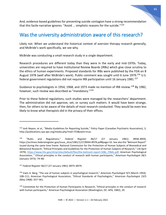And, evidence-based guidelines for preventing suicide contagion have a strong recommendation that this facile narrative ignores: "Avoid … simplistic reasons for the suicide."<sup>154</sup>

## <span id="page-45-0"></span>Was the university administration aware of this research?

Likely not. When we understand the historical context of aversion therapy research generally, and McBride's work specifically, we see why.

McBride was conducting a small research study in a single department.

Research procedures are different today than they were in the early and mid-1970s. Today, universities are required to have Institutional Review Boards (IRBs) which give close scrutiny to the ethics of human experiments. Proposed standards for IRBs were published by the FDA on 8 August 1978 (well after McBride's work). Public comment was sought until 6 June 1979.<sup>156</sup> U.S. federal government regulations did not require IRB participation until 16 January 1981.<sup>157</sup>

Guidance to psychologists in 1954, 1968, and 1973 made no mention of IRB review.<sup>158</sup> By 1982, however, such review was described as "mandatory."<sup>159</sup>

Prior to these federal regulations, such studies were managed by the researchers' department. The administration did not approve, vet, or survey such matters. It would have been strange, then, for others to be aware of the details of most research conducted. They would be even less likely to know what therapists did in the privacy of their offices.

<sup>157</sup> *Federal Register* 46/17 (27 January 1981): 8975–8979.

 $\overline{a}$ 

<sup>158</sup> Irwin A. Berg, "The use of human subjects in psychological research," *American Psychologist* 9/3 (March 1954): 108–111; American Psychological Association, "Ethical Standards of Psychologists," *American Psychologist* 23/5 (May 1968): 357–361.

<sup>154</sup> Josh Nepon, et al., "Media Guidelines for Reporting Suicide," Policy Paper (Canadian Psychiatric Association), 3, http://publications.cpa-apc.org/media.php?mid=733&xwm=true.

<sup>156</sup> "Rules and Regulations," *Federal Register* 46/17 (27 January 1981): 8958–8959, https://archives.federalregister.gov/issue\_slice/1981/1/27/8944-8978.pdf#page=32. See also the "Belmont Report" issued during the same time frame: National Commission for the Protection of Human Subjects of Biomedical and Behavioral Research, "Ethical Principles and Guidelines for the Protection of Human Subjects of Research," (18 April 1979), [https://www.hhs.gov/ohrp/sites/default/files/the-belmont-report-508c\\_FINAL.pdf;](https://www.hhs.gov/ohrp/sites/default/files/the-belmont-report-508c_FINAL.pdf) American Psychological Association, " Ethical principles in the conduct of research with human participants," *American Psychologist* 28/1 (January 1973): 79–80.

<sup>&</sup>lt;sup>159</sup> Committee for the Protection of Human Participants in Research, "Ethical principles in the conduct of research with human participants," American Psychological Association (Washington, DC: APA, 1982), 29.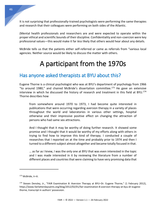It is not surprising that professionally-trained psychologists were performing the same therapies and research that their colleagues were performing on both sides of the Atlantic.

(Mental health professionals and researchers are and were expected to operate within the proper ethical and scientific bounds of their discipline. Confidentiality and non-coercion were key professional values—this would make it far *less* likely that others would hear about any details.

McBride tells us that the patients either self-referred or came as referrals from "various local agencies. Neither source would be likely to discuss the matter with others.

# <span id="page-46-0"></span>A participant from the 1970s

## <span id="page-46-1"></span>Has anyone asked therapists at BYU about this?

Eugene Thorne is a clinical psychologist who was at BYU's department of psychology from 1966 "to around 1980," and chaired McBride's dissertation committee.<sup>173</sup> He gave an extensive interview in which he discussed the history of research and treatment in this field at BYU.<sup>174</sup> Thorne describes how

from somewhere around 1970 to 1973, I had become quite interested in publications that were occurring regarding aversion therapy in a variety of places throughout the world and laboratories in various other settings, hospital otherwise and their impressive positive effect on changing the attraction of persons who had same sex attractions.

And I thought that it may be worthy of doing further research. It showed some promise and I thought that it would be worthy of my efforts along with others in trying to find how to improve this kind of therapy. I conducted a couple of researches that I reported on at the time and probably prior to 1974 and then I turned to a different subject almost altogether and became totally focused in that.

… as far as I knew, I was the only one at BYU that was even interested in the topic and I was made interested in it by reviewing the literature from a number of different places and countries that were claiming to have very promising data that

<sup>173</sup> McBride, ii–iii.

<sup>174</sup> Steven Densley, Jr., "FAIR Examination 8: Aversion Therapy at BYU–Dr. Eugene Thorne," (1 February 2012), https://www.fairlatterdaysaints.org/blog/2012/02/01/fair-examination-8-aversion-therapy-at-byu-dr-eugenethorne, transcript in authors' possession.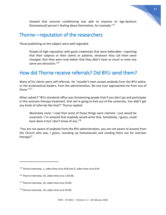showed that aversive conditioning was able to improve an ego-dystonic [homosexual] person's feeling about themselves, for example.<sup>175</sup>

#### <span id="page-47-0"></span>Thorne—reputation of the researchers

Those publishing on the subject were well-regarded:

People of high reputation with good credentials that were believable—reporting that their subjects or their clients or patients, whatever they call them were changed, that they were now better that they didn't have as much or even any same sex attraction. 176

#### <span id="page-47-1"></span>How did Thorne receive referrals? Did BYU send them?

Many of his clients were self-referrals. He "wouldn't even accept anybody from the BYU police, or the ecclesiastical leaders, from the administration. No one ever approached me from any of those." 177

When asked if "BYU standards office was threatening people that if you don't go and participate in this aversion therapy treatment, that we're going to kick out of the university. You didn't get any kinds of referrals like that?" Thorne replied:

Absolutely none. I read that some of those things were claimed. I just would be surprised—I'm amazed that anybody would write that. Somebody, I guess, could have done it but I don't know of any.<sup>178</sup>

"You are not aware of anybody from the BYU administration, you are not aware of anyone from the Church who was, I guess, rounding up homosexuals and sending them out for aversion therapy?"

<sup>&</sup>lt;sup>175</sup> Thorne Interview, 1, video time circa 4:00 and 3, video time circa 9:45.

<sup>176</sup> Thorne Interview, 19, video time circa 1:05:00.

<sup>&</sup>lt;sup>177</sup> Thorne interview, 10, video time circa 35:00.

<sup>&</sup>lt;sup>178</sup> Thorne interview, 10, video time circa 35:00.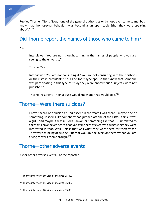Replied Thorne: "No ... Now, none of the general authorities or bishops ever came to me, but I know that [homosexual behavior] was becoming an open topic [that they were speaking about]."<sup>179</sup>

#### <span id="page-48-0"></span>Did Thorne report the names of those who came to him?

No.

 $\overline{a}$ 

Interviewer: You are not, though, turning in the names of people who you are seeing to the university?

Thorne: Yes.

Interviewer: You are not consulting it? You are not consulting with their bishops or their stake presidents? So, aside for maybe spouse that knew that someone was participating in this type of study they were anonymous? Subjects were not published?

Thorne: Yes, right. Their spouse would know and that would be it.<sup>180</sup>

#### <span id="page-48-1"></span>Thorne—Were there suicides?

<span id="page-48-3"></span>I never heard of a suicide at BYU except in the years I was there—maybe one or something. It seems like somebody had jumped off one of the cliffs. I think it was a girl—and maybe it was in Rock Canyon or something like that—… unrelated to therapy. I have never heard of anybody in therapy ever even suggesting they were interested in that. Well, unless that was what they were there for therapy for. They were thinking of suicide. But that wouldn't be aversion therapy that you are trying to work them through. $181$ 

#### <span id="page-48-2"></span>Thorne—other adverse events

As for other adverse events, Thorne reported:

<sup>&</sup>lt;sup>179</sup> Thorne interview, 10, video time circa 35:40.

<sup>&</sup>lt;sup>180</sup> Thorne interview, 11, video time circa 36:00.

<sup>&</sup>lt;sup>181</sup> Thorne interview, 16, video time circa 55:00.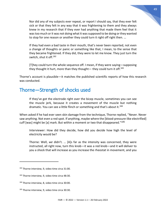Nor did any of my subjects ever repeat, or report I should say, that they ever felt sick or that they felt in any way that it was frightening to them and they always knew in my research that if they ever had anything that made them feel that it was too much or it was not doing what it was supposed to be doing or they wanted to stop for one reason or another they could turn it right off right then. …

If they had even a bad taste in their mouth, that's never been reported, not even a change of thoughts or panic or something like that, I mean, to the sense that they became frightened. If they did, they were to let me know. They just turn the switch, shut it off. 182

[T]hey could turn the whole sequence off. I mean, if they were saying—supposing they thought it hurt, more than they thought— they could turn it off.<sup>183</sup>

Thorne's account is plausible—it matches the published scientific reports of how this research was conducted.

## <span id="page-49-0"></span>Thorne—Strength of shocks used

If they've got the electrode right over the bicep muscle, sometimes you can see the muscle jerk, because it creates a movement of the muscle but nothing dramatic. You can see a little flinch or something and that's about it.<sup>184</sup>

When asked if he had ever seen skin damage from the technique, Thorne replied, "Never. Never saw anything. Not even a red spot. If anything, maybe where the [blood-pressure-like electrified] cuff [was] might be [a] mark. But within a moment or two that disappeared."<sup>185</sup>

Interviewer: How did they decide, how did you decide how high the level of electricity would be?

Thorne: Well, *we* didn't. … [A]s far as the intensity was concerned, they were instructed, all right now, turn this knob—it was a red knob—and it will deliver to you a shock that will increase as you increase the rheostat in movement, and you

<sup>182</sup> Thorne interview, 9, video time circa 31:00.

<sup>183</sup> Thorne interview, 9, video time circa 48:30.

<sup>&</sup>lt;sup>184</sup> Thorne interview, 8, video time circa 30:00.

<sup>&</sup>lt;sup>185</sup> Thorne interview, 9, video time circa 30:30.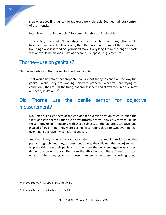stop where you find it uncomfortable or barely tolerable. So,they had total control of the intensity.

Interviewer: "Not intolerable." So, something short of intolerable.

Thorne: No, they wouldn't have stayed in the research, I don't think, if that would have been intolerable. At any rate, then the duration in some of the trials were like "bing," a split second. So, you didn't make it very long. I think the longest shock was on would be maybe a 10th of a second, I suppose, if I guessed.<sup>186</sup>

#### <span id="page-50-0"></span>Thorne—use on genitals?

Thorne was adamant that no genital shock was applied:

<span id="page-50-2"></span>That would be totally inappropriate. You are not trying to condition the way the genitals work. They are working perfectly, properly. What you are trying to condition is the arousal, the thing that arouses them and allows them reach climax or have ejaculation. 187

# <span id="page-50-1"></span>Did Thorne use the penile sensor for objective measurement?

No, I didn't. I asked them at the end of each aversion session to go through the slides and give them a rating as to how attractive they—how easy they could find these thoughts of interacting with these subjects on the pictures attractive, and instead of 10 or nine, they were beginning to report three to two, even none. I even find it aversive, I mean it's negative. …

And then, later, some of my graduate students had acquired, I think it's called the plethysmograph, and they, as described to me, they allowed the [male] subjects to place this … on their penis and … the more the penis engorged was a direct demonstration of arousal. The more the attraction was there. Then no matter what number they gave us, those numbers gave them something about

<sup>186</sup> Thorne interview, 12, video time circa 39:30.

<sup>&</sup>lt;sup>187</sup> Thorne interview, 9, video time circa 32:00.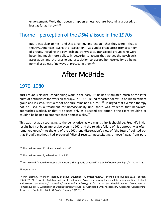51

engorgement. Well, that doesn't happen unless you are becoming aroused, at least as far as I know.<sup>188</sup>

#### <span id="page-51-0"></span>Thorne—perception of the *DSM-II* issue in the 1970s

But it was clear to me—and this is just my impression—that they were – that is the APA, American Psychiatric Association—was under great stress from a variety of groups, including the gay, lesbian, transvestite, transsexual groups who were becoming much more politically powerful to accept that we get the psychiatric association and the psychology association to accept homosexuality as being normal or at least find ways of protecting them<sup>189</sup>

# After McBride

#### <span id="page-51-2"></span><span id="page-51-1"></span>1976–1980

Kurt Freund's classical conditioning work in the early 1960s had stimulated much of the later burst of enthusiasm for aversion therapy. In 1977, Freund reported follow-up on his treatment group and insisted, "virtually not one cure remained a cure."<sup>190</sup> He urged that aversion therapy not be used as a treatment for homosexuality until there was evidence that behavioral approaches worked, or that it be used only as a second-tier option if the client wouldn't or couldn't be helped to embrace their homosexuality.<sup>191</sup>

This was not as discouraging to the behaviorists as we might think it should be. Freund's initial results had not been impressive even in 1960, and the relative failure of his approach was often remarked upon.<sup>192</sup> At the end of the 1960s, one dissertation's view of "the future" pointed out that Freud's methods had produced "dismal results," necessitating a move "away from pure

<sup>191</sup> Freund, 239.

<sup>&</sup>lt;sup>188</sup> Thorne interview, 12, video time circa 41:00.

<sup>189</sup> Thorne interview, 2, video time circa 4:30

<sup>190</sup> Kurt Freund, "Should Homosexuality Arouse Therapeutic Concern?" *Journal of Homosexuality* 2/3 (1977): 238.

<sup>&</sup>lt;sup>192</sup> MP Feldman, "Aversion Therapy of Sexual Deviations: A critical review," Psychological Bulletin 65/2 (February 1966): 72–74; Edward J. Callahax and Harold Leitenberg, "Aversion therapy for sexual deviation: contingent shock and covert sensitization," *Journal of Abnormal Psychology* 81/1 (1973): 60; Sheelah James, "Treatment of Homosexuality ll. Superiority of Desensitization/Arousal as Compared with Anticipatory Avoidance Conditioning: Results of a Controlled Trial," *Behavior Therapy* 9 (1978): 28.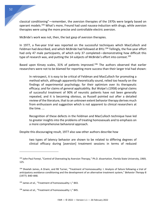classical conditioning"—remember, the aversion therapies of the 1970s were largely based on operant models.<sup>193</sup> What's more, Freund had used nausea-induction with drugs, while aversion therapies were using the more precise and controllable electric aversion.

McBride's work was not, then, the last gasp of aversion therapies.

In 1977, a five-year trial was reported on the successful techniques which MacCulloch and Feldman had described, and which McBride had followed at BYU.<sup>194</sup> Tellingly, the five-year effort had only 47 male participants, of which only 37 completed—demonstrating how difficult this type of research was, and putting the 14 subjects of McBride's effort into context.<sup>195</sup>

Based upon Kinsey scales, 31% of patients improved.<sup>196</sup> The authors observed that earlier researchers were not to be blamed for reporting more success than their larger trial had shown:

In retrospect, it is easy to be critical of Feldman and MacCulloch for promoting a method which, although apparently theoretically sound, relied too heavily on the findings of experimental psychology; for their optimism over its therapeutic efficacy; and for claims of general applicability. But Wolpe's (1958) original claims of successful treatment of 90% of neurotic patients have not been generally repeated, and it is becoming obvious, as Russell pointed out after a detailed review of the literature, that to an unknown extent behavior therapy derives much from enthusiasm and suggestion which is not apparent to clinical researchers at the time. ...

Recognition of these defects in the Feldman and MacCulloch technique have led to greater insights into the problems of treating homosexuals and to emphasis on a more comprehensive behavioral approach.

Despite this discouraging result, 1977 also saw other authors describe how

two types of latency behavior are shown to be related to differing degrees of clinical efficacy during [aversion] treatment sessions in terms of reduced

<sup>&</sup>lt;sup>193</sup> John Paul Foreyt, "Control of Overeating by Aversion Therapy," Ph.D. dissertation, Florida State University, 1969, 125.

<sup>194</sup> Sheelah James, A Orwin, and RK Turner, "Treatment of homosexuality: I. Analysis of failure following a trial of anticipatory avoidance conditioning and the development of an alternative treatment system," *Behavior Therapy* 8 (1977): 840–848.

<sup>195</sup> James *et al.,* "Treatment of homosexuality: I," 843.

<sup>196</sup> James *et al.,* "Treatment of homosexuality: I," 845.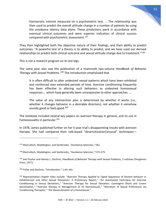homoerotic interest measured on a psychometric test. ... The relationship was then used to predict the overall attitude change in a number of patients by using the avoidance latency data alone. These predictions were in accordance with eventual clinical outcomes and were superior indicators of clinical success compared with psychometric assessment.<sup>197</sup>

They then highlighted both the objective nature of their findings, and their ability to predict outcomes: "A powerful test of a theory is its ability to predict, and we have used our derived relationships to predict both clinical outcome and sexual attitude change due to treatment."<sup>198</sup>

This is not a research program on its last legs.

The same year also saw the publication of a mammoth two-volume *Handbook of Behavior Therapy with Sexual Problems*. <sup>199</sup> The introduction emphasized that

It is often difficult to alter undesired sexual patterns which have been exhibited and reinforced over extended periods of time. Aversive conditioning frequently has been effective in altering such behaviors as undesired homosexual responses … which have generally been unresponsive to other approaches. …

The value of any intervention plan is determined by whether it works (i.e., whether it changes behavior in a desirable direction), not whether it somehow sounds good or feels good.<sup>200</sup>

The textbook included several key papers on aversion therapy in general, and its use in homosexuality in particular.<sup>201</sup>

In 1978, James published further on her 5-year trial's disappointing results with aversion therapy. She had compared their talk-based "desensitization/arousal" techniques—

<sup>&</sup>lt;sup>197</sup> MacCulloch, Waddington, and Sambrooks, "Avoidance latencies," 562.

<sup>198</sup> MacCulloch, Waddington, and Sambrooks, "Avoidance latencies," 573–575.

<sup>199</sup> Joel Fischer and Harvey L. Gochros, *Handbook of Behavior Therapy with Sexual Problems*, 2 volumes (Pergamon Press, 1977).

<sup>200</sup> Fisher and Gochros, "Introduction," 1:xlii–xliv.

<sup>&</sup>lt;sup>201</sup> Representative chapter titles include: "Aversion Therapy Applied to Taped Sequences of Deviant behavior in Exhibitionism and other Sexual Deviations: A Preliminary Report," "An Automated Technique for Aversive Conditioning in Sexual Deviations," "Aversion Therapy for Sexual Deviation: Contingent Shock and Covert Sensitization," "Aversion therapy in Management of 43 Homosexuals," "Alteration of Sexual Preferences via Conditioning Therapies," "The Desensitization of a Homosexual."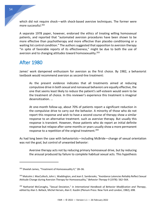which did not require shock—with shock-based aversive techniques. The former were more successful.<sup>202</sup>

A separate 1978 paper, however, endorsed the ethics of treating willing homosexual patients, and reported that "automated aversion procedures have been shown to be more effective than psychotherapy and more effective than placebo conditioning or a waiting list control condition." The authors suggested that opposition to aversion therapy "in spite of favorable reports of its effectiveness," might be due to both the use of aversion and to changing attitudes toward homosexuality.<sup>203</sup>

#### <span id="page-54-0"></span>After 1980

 $\overline{a}$ 

James' work dampened enthusiasm for aversion as the first choice. By 1982, a behaviorist textbook would recommend aversion as second-line treatment:

As the present evidence indicates that all treatments aimed at reducing compulsive drive in both sexual and nonsexual behaviors are equally effective, the one that seems least likely to reduce the patient's self-esteem would seem to be the treatment of choice. In this reviewer's experience this treatment is imaginal desensitization. …

At one-month follow-up, about 70% of patients report a significant reduction in the compulsive drive to carry out the behavior. A minority of those who do not report this response and wish to have a second course of therapy show a similar response to an alternative treatment. such as aversive therapy. But usually this response is transient. However, those patients who do report an initial definite response but relapse after some months or years usually show a more permanent response to a repetition of the original treatment.<sup>204</sup>

As had long been the case with behaviorists—including McBride—change of sexual orientation was not the goal, but control of unwanted behavior:

Aversive therapy acts not by reducing primary homosexual drive, but by reducing the arousal produced by failure to complete habitual sexual acts. This hypothesis

<sup>202</sup> Sheelah James, "Treatment of Homosexuality ll," 28–36.

<sup>&</sup>lt;sup>203</sup> Malcolm J. MacCulloch, John L. Waddington, and Jean E. Sambrooks, "Avoidance Latencies Reliably Reflect Sexual Attitude Change during Aversion Therapy for Homosexuality," *Behavior Therapy* 9 (1978): 562–564.

<sup>204</sup> Nathaniel McConaghy, "Sexual Deviation," in *International Handbook of Behavior Modification and Therapy*, edited by Alan S. Bellack, Michel Hersen, Alan E. Kazdin (Plenum Press: New York and London, 1982), 698.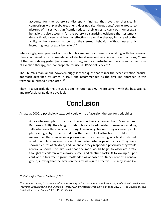accounts for the otherwise discrepant findings that aversive therapy, in comparison with placebo treatment, does not alter the patients' penile arousal to pictures of males, yet significantly reduces their urges to carry out homosexual behavior. It also accounts for the otherwise surprising evidence that systematic desensitization seems at least as effective as aversive therapy in increasing the ability of homosexuals to control their sexual behavior, without necessarily increasing heterosexual behavior.<sup>205</sup>

Interestingly, one year earlier the Church's manual for therapists working with homosexual clients contained no recommendation of electrical aversion therapies, and even cautions, "Some of the methods suggested [in reference works], such as masturbation therapy and some forms of aversion therapy, are inappropriate for use in LDS Social Services."

The Church's manual did, however, suggest techniques that mirror the desensitization/arousal approach described by James in 1978 and recommended as the first line approach in this textbook published a year later. 206

<span id="page-55-0"></span>They—like McBride during the Oaks administration at BYU—were current with the best science and professional guidance available.

# Conclusion

As late as 2000, a psychology textbook could write of aversion therapy for pedophiles:

A real-life example of the use of aversion therapy comes from Marshall and Barbaree (1988). They taught child-molesters to administer themselves smelling salts whenever they had erotic thoughts involving children. They also used penile plethysmography to help condition the men out of attraction to children. This means that the men wore a pressure-sensitive penis-ring which, if stretched, would complete an electric circuit and administer a painful shock. They were shown pictures of children, and, whenever they responded physically they would receive a shock. The aim was that the men would begin to associate erotic thoughts of children with a noxious smell and electric shocks. At follow-up, 13 per cent of the treatment group reoffended as opposed to 34 per cent of a control group, showing that the aversion therapy was quite effective. *This may sound like* 

<sup>&</sup>lt;sup>205</sup> McConaghy, "Sexual Deviation," 692.

<sup>206</sup> Compare James, "Treatment of Homosexuality II," 31 with LDS Social Services, *Professional Development Program: Understanding and Changing Homosexual Orientation Problems* (Salt Lake City, UT: The Church of Jesus Christ of Latter-day Saints, 1981), 19–21, 25–26.